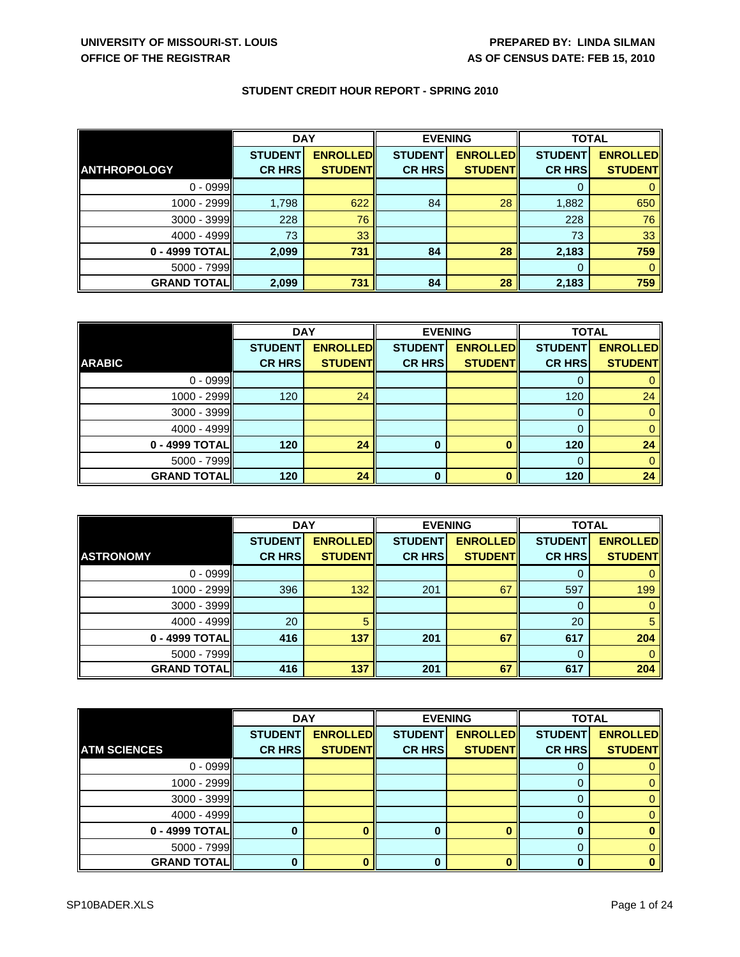|                     | <b>DAY</b>     |                 | <b>EVENING</b> |                 | <b>TOTAL</b>   |                 |
|---------------------|----------------|-----------------|----------------|-----------------|----------------|-----------------|
|                     | <b>STUDENT</b> | <b>ENROLLED</b> | <b>STUDENT</b> | <b>ENROLLED</b> | <b>STUDENT</b> | <b>ENROLLED</b> |
| <b>ANTHROPOLOGY</b> | <b>CR HRS</b>  | <b>STUDENT</b>  | <b>CR HRS</b>  | <b>STUDENTI</b> | <b>CR HRS</b>  | <b>STUDENT</b>  |
| $0 - 0999$          |                |                 |                |                 | 0              |                 |
| 1000 - 2999         | 1,798          | 622             | 84             | 28              | 1,882          | 650             |
| $3000 - 3999$       | 228            | 76              |                |                 | 228            | 76              |
| 4000 - 4999         | 73             | 33              |                |                 | 73             | 33              |
| 0 - 4999 TOTAL      | 2,099          | 731             | 84             | 28              | 2,183          | 759             |
| $5000 - 7999$       |                |                 |                |                 | 0              |                 |
| <b>GRAND TOTAL</b>  | 2,099          | 731             | 84             | 28              | 2,183          | 759             |

|                    | <b>DAY</b>     |                 |                | <b>EVENING</b>  | <b>TOTAL</b>   |                 |
|--------------------|----------------|-----------------|----------------|-----------------|----------------|-----------------|
|                    | <b>STUDENT</b> | <b>ENROLLED</b> | <b>STUDENT</b> | <b>ENROLLED</b> | <b>STUDENT</b> | <b>ENROLLED</b> |
| <b>ARABIC</b>      | <b>CR HRS</b>  | <b>STUDENT</b>  | <b>CR HRS</b>  | <b>STUDENT</b>  | <b>CR HRS</b>  | <b>STUDENT</b>  |
| $0 - 0999$         |                |                 |                |                 |                |                 |
| 1000 - 2999        | 120            | 24              |                |                 | 120            | 24              |
| $3000 - 3999$      |                |                 |                |                 |                |                 |
| $4000 - 4999$      |                |                 |                |                 |                |                 |
| 0 - 4999 TOTAL     | 120            | 24              | 0              |                 | 120            | 24              |
| $5000 - 7999$      |                |                 |                |                 |                |                 |
| <b>GRAND TOTAL</b> | 120            | 24              | $\bf{0}$       |                 | 120            | 24              |

|                    | <b>DAY</b>     |                 | <b>EVENING</b> |                 | <b>TOTAL</b>   |                 |
|--------------------|----------------|-----------------|----------------|-----------------|----------------|-----------------|
|                    | <b>STUDENT</b> | <b>ENROLLED</b> | <b>STUDENT</b> | <b>ENROLLED</b> | <b>STUDENT</b> | <b>ENROLLED</b> |
| <b>ASTRONOMY</b>   | <b>CR HRS</b>  | <b>STUDENT</b>  | <b>CR HRS</b>  | <b>STUDENT</b>  | <b>CR HRS</b>  | <b>STUDENT</b>  |
| $0 - 0999$         |                |                 |                |                 |                |                 |
| 1000 - 2999        | 396            | 132             | 201            | 67              | 597            | 199             |
| 3000 - 3999        |                |                 |                |                 | 0              |                 |
| $4000 - 4999$      | 20             |                 |                |                 | 20             |                 |
| 0 - 4999 TOTAL     | 416            | 137             | 201            | 67              | 617            | 204             |
| $5000 - 7999$      |                |                 |                |                 | 0              |                 |
| <b>GRAND TOTAL</b> | 416            | 137             | 201            | 67              | 617            | 204             |

|                     | <b>DAY</b>     |                 |                | <b>EVENING</b>  | <b>TOTAL</b>   |                 |
|---------------------|----------------|-----------------|----------------|-----------------|----------------|-----------------|
|                     | <b>STUDENT</b> | <b>ENROLLED</b> | <b>STUDENT</b> | <b>ENROLLED</b> | <b>STUDENT</b> | <b>ENROLLED</b> |
| <b>ATM SCIENCES</b> | <b>CR HRS</b>  | <b>STUDENT</b>  | <b>CR HRS</b>  | <b>STUDENT</b>  | <b>CR HRS</b>  | <b>STUDENT</b>  |
| $0 - 0999$          |                |                 |                |                 |                |                 |
| $1000 - 2999$       |                |                 |                |                 |                |                 |
| 3000 - 3999         |                |                 |                |                 | 0              |                 |
| $4000 - 4999$       |                |                 |                |                 |                |                 |
| 0 - 4999 TOTAL      |                |                 | 0              |                 | 0              |                 |
| $5000 - 7999$       |                |                 |                |                 | 0              |                 |
| <b>GRAND TOTAL</b>  |                |                 |                |                 | 0              |                 |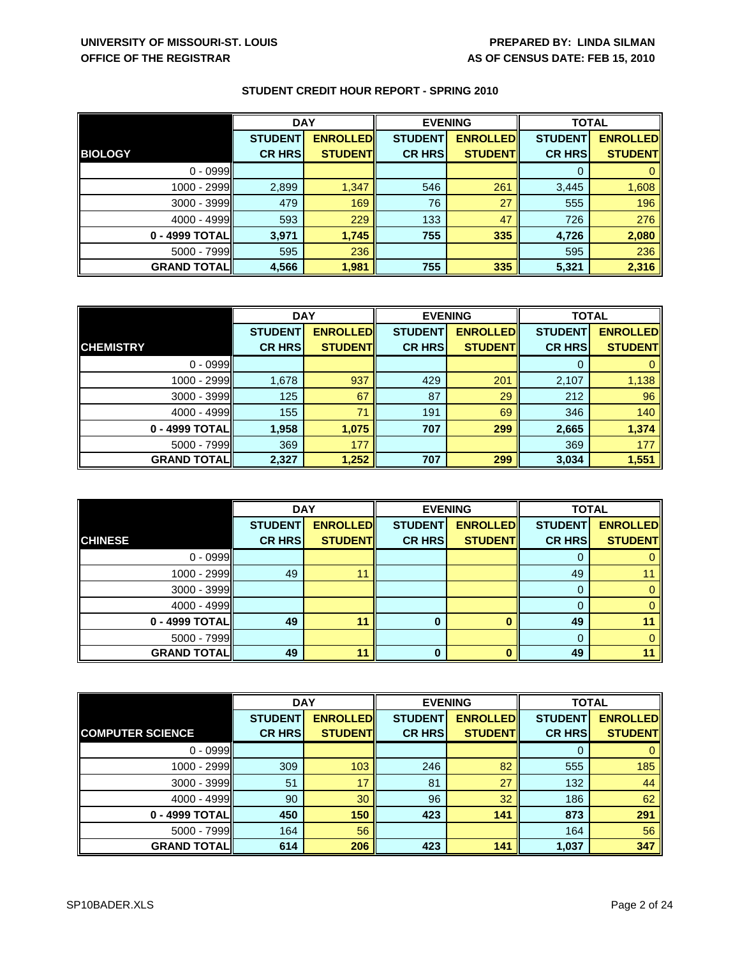|                     | <b>DAY</b>     |                 | <b>EVENING</b> |                 | <b>TOTAL</b>   |                 |
|---------------------|----------------|-----------------|----------------|-----------------|----------------|-----------------|
|                     | <b>STUDENT</b> | <b>ENROLLED</b> | <b>STUDENT</b> | <b>ENROLLED</b> | <b>STUDENT</b> | <b>ENROLLED</b> |
| <b>BIOLOGY</b>      | <b>CR HRS</b>  | <b>STUDENT</b>  | <b>CR HRS</b>  | <b>STUDENT</b>  | <b>CR HRS</b>  | <b>STUDENTI</b> |
| $0 - 0999$          |                |                 |                |                 |                |                 |
| 1000 - 2999         | 2,899          | 1,347           | 546            | 261             | 3,445          | 1,608           |
| $3000 - 3999$       | 479            | 169             | 76             | 27              | 555            | 196             |
| $4000 - 4999$       | 593            | 229             | 133            | 47              | 726            | 276             |
| 0 - 4999 TOTAL      | 3,971          | 1,745           | 755            | 335             | 4,726          | 2,080           |
| 5000 - 7999         | 595            | 236             |                |                 | 595            | 236             |
| <b>GRAND TOTALI</b> | 4,566          | 1,981           | 755            | 335             | 5,321          | 2,316           |

|                     | <b>DAY</b>     |                 | <b>EVENING</b> |                 | <b>TOTAL</b>   |                 |
|---------------------|----------------|-----------------|----------------|-----------------|----------------|-----------------|
|                     | <b>STUDENT</b> | <b>ENROLLED</b> | <b>STUDENT</b> | <b>ENROLLED</b> | <b>STUDENT</b> | <b>ENROLLED</b> |
| <b>CHEMISTRY</b>    | <b>CR HRS</b>  | <b>STUDENT</b>  | <b>CR HRS</b>  | <b>STUDENT</b>  | <b>CR HRS</b>  | <b>STUDENT</b>  |
| $0 - 0999$          |                |                 |                |                 | 0              |                 |
| 1000 - 2999         | 1,678          | 937             | 429            | 201             | 2,107          | 1,138           |
| $3000 - 3999$       | 125            | 67              | 87             | 29              | 212            | 96              |
| $4000 - 4999$       | 155            | 71              | 191            | 69              | 346            | 140             |
| 0 - 4999 TOTAL      | 1,958          | 1,075           | 707            | 299             | 2,665          | 1,374           |
| 5000 - 7999         | 369            | 177             |                |                 | 369            | 177             |
| <b>GRAND TOTALI</b> | 2,327          | 1,252           | 707            | 299             | 3,034          | 1,551           |

|                    | <b>DAY</b>     |                 | <b>EVENING</b> |                 | <b>TOTAL</b>   |                 |
|--------------------|----------------|-----------------|----------------|-----------------|----------------|-----------------|
|                    | <b>STUDENT</b> | <b>ENROLLED</b> | <b>STUDENT</b> | <b>ENROLLED</b> | <b>STUDENT</b> | <b>ENROLLED</b> |
| <b>CHINESE</b>     | <b>CR HRS</b>  | <b>STUDENT</b>  | <b>CR HRS</b>  | <b>STUDENT</b>  | <b>CR HRS</b>  | <b>STUDENT</b>  |
| $0 - 0999$         |                |                 |                |                 | 0              |                 |
| 1000 - 2999        | 49             | 11              |                |                 | 49             |                 |
| 3000 - 3999        |                |                 |                |                 | 0              |                 |
| $4000 - 4999$      |                |                 |                |                 | 0              |                 |
| $0 - 4999$ TOTAL   | 49             | 11              | $\bf{0}$       | O               | 49             |                 |
| $5000 - 7999$      |                |                 |                |                 | 0              |                 |
| <b>GRAND TOTAL</b> | 49             | 11              | n              | n               | 49             |                 |

|                         | <b>DAY</b>     |                  | <b>EVENING</b> |                 | <b>TOTAL</b>   |                 |
|-------------------------|----------------|------------------|----------------|-----------------|----------------|-----------------|
|                         | <b>STUDENT</b> | <b>ENROLLEDI</b> | <b>STUDENT</b> | <b>ENROLLED</b> | <b>STUDENT</b> | <b>ENROLLED</b> |
| <b>COMPUTER SCIENCE</b> | <b>CR HRS</b>  | <b>STUDENT</b>   | <b>CR HRS</b>  | <b>STUDENT</b>  | <b>CR HRS</b>  | <b>STUDENT</b>  |
| $0 - 0999$              |                |                  |                |                 | 0              |                 |
| 1000 - 2999             | 309            | 103              | 246            | 82              | 555            | 185             |
| 3000 - 3999             | 51             | 17               | 81             | 27              | 132            | 44              |
| 4000 - 4999             | 90             | 30               | 96             | 32              | 186            | 62              |
| 0 - 4999 TOTAL          | 450            | 150              | 423            | 141             | 873            | 291             |
| $5000 - 7999$           | 164            | 56               |                |                 | 164            | 56              |
| <b>GRAND TOTAL</b>      | 614            | 206              | 423            | 141             | 1,037          | 347             |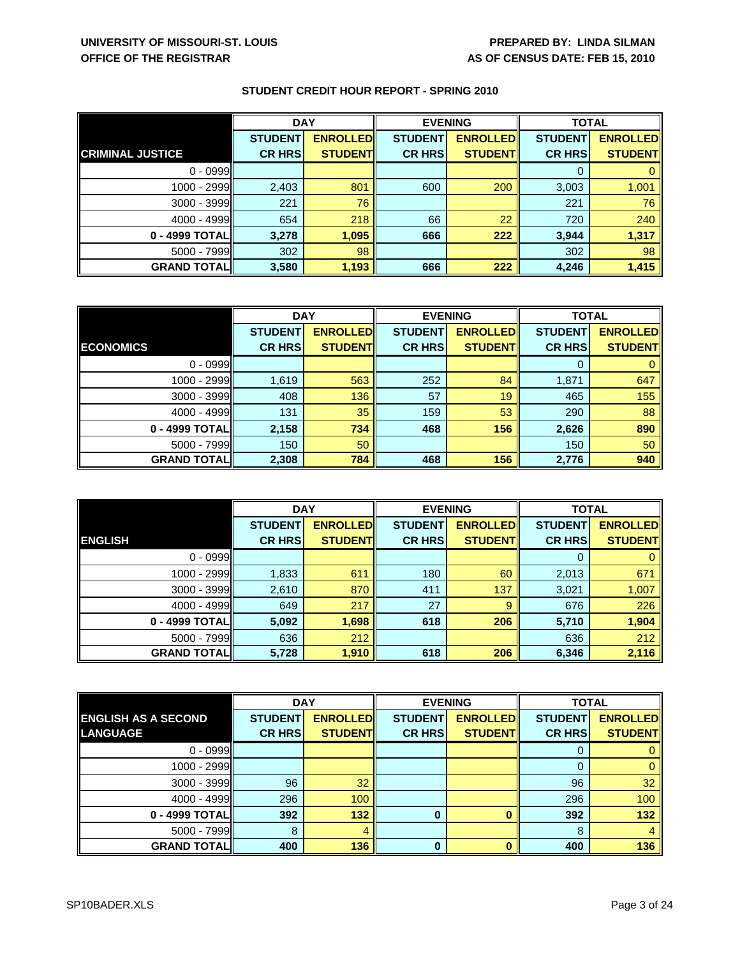|                         | <b>DAY</b>     |                 | <b>EVENING</b> |                 | <b>TOTAL</b>   |                 |
|-------------------------|----------------|-----------------|----------------|-----------------|----------------|-----------------|
|                         | <b>STUDENT</b> | <b>ENROLLED</b> | <b>STUDENT</b> | <b>ENROLLED</b> | <b>STUDENT</b> | <b>ENROLLED</b> |
| <b>CRIMINAL JUSTICE</b> | <b>CR HRS</b>  | <b>STUDENT</b>  | <b>CR HRS</b>  | <b>STUDENT</b>  | <b>CR HRS</b>  | <b>STUDENT</b>  |
| $0 - 0999$              |                |                 |                |                 |                |                 |
| 1000 - 2999             | 2,403          | 801             | 600            | 200             | 3,003          | 1,001           |
| 3000 - 3999             | 221            | 76              |                |                 | 221            | 76              |
| $4000 - 4999$           | 654            | 218             | 66             | 22              | 720            | 240             |
| 0 - 4999 TOTAL          | 3,278          | 1,095           | 666            | 222             | 3,944          | 1,317           |
| $5000 - 7999$           | 302            | 98              |                |                 | 302            | 98              |
| <b>GRAND TOTAL</b>      | 3,580          | 1,193           | 666            | 222             | 4,246          | 1,415           |

|                     | <b>DAY</b>     |                 | <b>EVENING</b> |                 | <b>TOTAL</b>   |                 |
|---------------------|----------------|-----------------|----------------|-----------------|----------------|-----------------|
|                     | <b>STUDENT</b> | <b>ENROLLED</b> | <b>STUDENT</b> | <b>ENROLLED</b> | <b>STUDENT</b> | <b>ENROLLED</b> |
| <b>ECONOMICS</b>    | <b>CR HRS</b>  | <b>STUDENT</b>  | <b>CR HRS</b>  | <b>STUDENT</b>  | <b>CR HRS</b>  | <b>STUDENT</b>  |
| $0 - 0999$          |                |                 |                |                 | 0              |                 |
| 1000 - 2999         | 1,619          | 563             | 252            | 84              | 1,871          | 647             |
| $3000 - 3999$       | 408            | 136             | 57             | 19              | 465            | 155             |
| $4000 - 4999$       | 131            | 35              | 159            | 53              | 290            | 88              |
| 0 - 4999 TOTAL      | 2,158          | 734             | 468            | 156             | 2,626          | 890             |
| 5000 - 7999         | 150            | 50              |                |                 | 150            | 50              |
| <b>GRAND TOTALI</b> | 2,308          | 784             | 468            | 156             | 2,776          | 940             |

|                    | <b>DAY</b>     |                 | <b>EVENING</b> |                 | <b>TOTAL</b>   |                 |
|--------------------|----------------|-----------------|----------------|-----------------|----------------|-----------------|
|                    | <b>STUDENT</b> | <b>ENROLLED</b> | <b>STUDENT</b> | <b>ENROLLED</b> | <b>STUDENT</b> | <b>ENROLLED</b> |
| <b>ENGLISH</b>     | <b>CR HRS</b>  | <b>STUDENT</b>  | <b>CR HRS</b>  | <b>STUDENT</b>  | <b>CR HRS</b>  | <b>STUDENT</b>  |
| $0 - 0999$         |                |                 |                |                 | 0              |                 |
| 1000 - 2999        | 1,833          | 611             | 180            | 60              | 2,013          | 671             |
| 3000 - 3999        | 2,610          | 870             | 411            | 137             | 3,021          | 1,007           |
| 4000 - 4999        | 649            | 217             | 27             | 9               | 676            | 226             |
| 0 - 4999 TOTAL     | 5,092          | 1,698           | 618            | 206             | 5,710          | 1,904           |
| $5000 - 7999$      | 636            | 212             |                |                 | 636            | 212             |
| <b>GRAND TOTAL</b> | 5,728          | 1,910           | 618            | 206             | 6,346          | 2,116           |

|                            | <b>DAY</b>     |                 | <b>EVENING</b> |                  | <b>TOTAL</b>   |                 |
|----------------------------|----------------|-----------------|----------------|------------------|----------------|-----------------|
| <b>ENGLISH AS A SECOND</b> | <b>STUDENT</b> | <b>ENROLLED</b> | <b>STUDENT</b> | <b>ENROLLEDI</b> | <b>STUDENT</b> | <b>ENROLLED</b> |
| <b>LANGUAGE</b>            | <b>CR HRS</b>  | <b>STUDENT</b>  | <b>CR HRS</b>  | <b>STUDENT</b>   | <b>CR HRS</b>  | <b>STUDENT</b>  |
| $0 - 0999$                 |                |                 |                |                  | O              |                 |
| $1000 - 2999$              |                |                 |                |                  |                |                 |
| $3000 - 3999$              | 96             | 32              |                |                  | 96             | 32              |
| $4000 - 4999$              | 296            | 100             |                |                  | 296            | 100             |
| 0 - 4999 TOTAL             | 392            | 132             |                |                  | 392            | 132             |
| 5000 - 7999                | 8              |                 |                |                  | 8              |                 |
| <b>GRAND TOTAL</b>         | 400            | 136             | $\bf{0}$       |                  | 400            | 136             |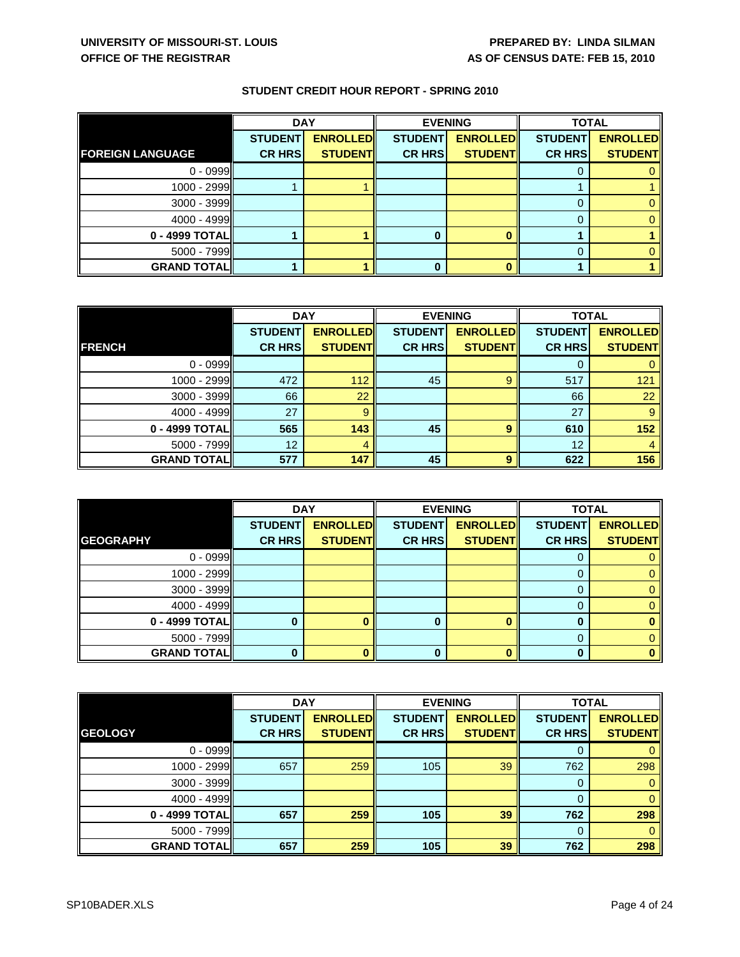|                         | <b>DAY</b>     |                 | <b>EVENING</b> |                 | <b>TOTAL</b>   |                 |
|-------------------------|----------------|-----------------|----------------|-----------------|----------------|-----------------|
|                         | <b>STUDENT</b> | <b>ENROLLED</b> | <b>STUDENT</b> | <b>ENROLLED</b> | <b>STUDENT</b> | <b>ENROLLED</b> |
| <b>FOREIGN LANGUAGE</b> | <b>CR HRS</b>  | <b>STUDENT</b>  | <b>CR HRS</b>  | <b>STUDENT</b>  | <b>CR HRS</b>  | <b>STUDENT</b>  |
| $0 - 0999$              |                |                 |                |                 |                |                 |
| $1000 - 2999$           |                |                 |                |                 |                |                 |
| 3000 - 3999             |                |                 |                |                 |                |                 |
| $4000 - 4999$           |                |                 |                |                 |                |                 |
| 0 - 4999 TOTAL          |                |                 |                |                 |                |                 |
| $5000 - 7999$           |                |                 |                |                 | 0              |                 |
| <b>GRAND TOTAL</b>      |                |                 |                |                 |                |                 |

|                     | <b>DAY</b>     |                 | <b>EVENING</b> |                 | <b>TOTAL</b>   |                 |
|---------------------|----------------|-----------------|----------------|-----------------|----------------|-----------------|
|                     | <b>STUDENT</b> | <b>ENROLLED</b> | <b>STUDENT</b> | <b>ENROLLED</b> | <b>STUDENT</b> | <b>ENROLLED</b> |
| <b>FRENCH</b>       | <b>CR HRS</b>  | <b>STUDENT</b>  | <b>CR HRS</b>  | <b>STUDENT</b>  | <b>CR HRS</b>  | <b>STUDENT</b>  |
| $0 - 0999$          |                |                 |                |                 |                |                 |
| $1000 - 2999$       | 472            | 112             | 45             | 9               | 517            | 121             |
| $3000 - 3999$       | 66             | 22              |                |                 | 66             | 22              |
| 4000 - 4999         | 27             | 9               |                |                 | 27             | 9               |
| 0 - 4999 TOTAL      | 565            | 143             | 45             | 9               | 610            | 152             |
| $5000 - 7999$       | 12             |                 |                |                 | 12             |                 |
| <b>GRAND TOTALI</b> | 577            | 147             | 45             | q               | 622            | 156             |

|                    | <b>DAY</b>     |                 | <b>EVENING</b> |                 | <b>TOTAL</b>   |                 |
|--------------------|----------------|-----------------|----------------|-----------------|----------------|-----------------|
|                    | <b>STUDENT</b> | <b>ENROLLED</b> | <b>STUDENT</b> | <b>ENROLLED</b> | <b>STUDENT</b> | <b>ENROLLED</b> |
| <b>GEOGRAPHY</b>   | <b>CR HRS</b>  | <b>STUDENT</b>  | <b>CR HRS</b>  | <b>STUDENT</b>  | <b>CR HRS</b>  | <b>STUDENT</b>  |
| $0 - 0999$         |                |                 |                |                 |                |                 |
| 1000 - 2999        |                |                 |                |                 |                |                 |
| 3000 - 3999        |                |                 |                |                 | 0              |                 |
| 4000 - 4999        |                |                 |                |                 |                |                 |
| 0 - 4999 TOTAL     |                |                 |                |                 | 0              |                 |
| $5000 - 7999$      |                |                 |                |                 | 0              |                 |
| <b>GRAND TOTAL</b> |                |                 |                |                 | ŋ              |                 |

|                    | <b>DAY</b>     |                 | <b>EVENING</b> |                 | <b>TOTAL</b>   |                 |
|--------------------|----------------|-----------------|----------------|-----------------|----------------|-----------------|
|                    | <b>STUDENT</b> | <b>ENROLLED</b> | <b>STUDENT</b> | <b>ENROLLED</b> | <b>STUDENT</b> | <b>ENROLLED</b> |
| <b>GEOLOGY</b>     | <b>CR HRS</b>  | <b>STUDENT</b>  | <b>CR HRS</b>  | <b>STUDENT</b>  | <b>CR HRS</b>  | <b>STUDENT</b>  |
| $0 - 0999$         |                |                 |                |                 | 0              |                 |
| $1000 - 2999$      | 657            | 259             | 105            | 39              | 762            | 298             |
| 3000 - 3999        |                |                 |                |                 | $\Omega$       |                 |
| 4000 - 4999        |                |                 |                |                 | $\Omega$       |                 |
| 0 - 4999 TOTAL     | 657            | 259             | 105            | 39              | 762            | 298             |
| 5000 - 7999        |                |                 |                |                 | $\Omega$       |                 |
| <b>GRAND TOTAL</b> | 657            | 259             | 105            | 39              | 762            | 298             |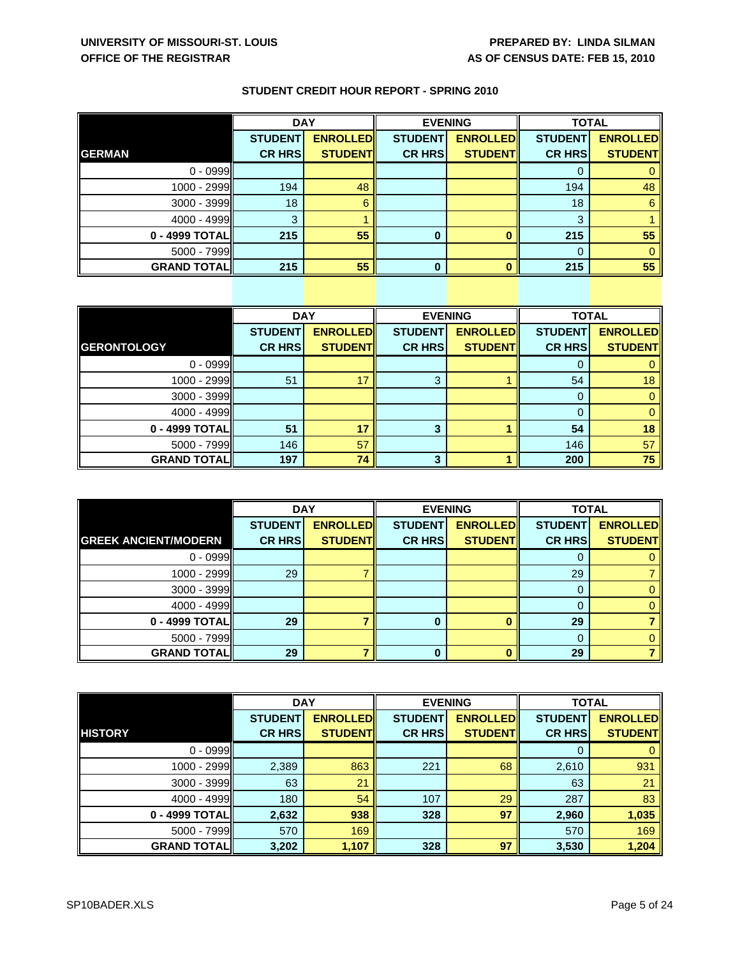|                    | <b>DAY</b>     |                 | <b>EVENING</b> |                 | <b>TOTAL</b>   |                 |
|--------------------|----------------|-----------------|----------------|-----------------|----------------|-----------------|
|                    | <b>STUDENT</b> | <b>ENROLLED</b> | <b>STUDENT</b> | <b>ENROLLED</b> | <b>STUDENT</b> | <b>ENROLLED</b> |
| <b>GERMAN</b>      | <b>CR HRS</b>  | <b>STUDENT</b>  | <b>CR HRS</b>  | <b>STUDENT</b>  | <b>CR HRS</b>  | <b>STUDENT</b>  |
| $0 - 0999$         |                |                 |                |                 |                |                 |
| 1000 - 2999        | 194            | 48              |                |                 | 194            | 48              |
| 3000 - 3999        | 18             |                 |                |                 | 18             | 6               |
| $4000 - 4999$      | 3              |                 |                |                 | 3              |                 |
| 0 - 4999 TOTAL     | 215            | 55              | $\bf{0}$       |                 | 215            | 55              |
| $5000 - 7999$      |                |                 |                |                 | 0              |                 |
| <b>GRAND TOTAL</b> | 215            | 55              | $\bf{0}$       |                 | 215            | 55              |

|                    | <b>DAY</b>     |                 | <b>EVENING</b> |                 | <b>TOTAL</b>   |                 |
|--------------------|----------------|-----------------|----------------|-----------------|----------------|-----------------|
|                    | <b>STUDENT</b> | <b>ENROLLED</b> | <b>STUDENT</b> | <b>ENROLLED</b> | <b>STUDENT</b> | <b>ENROLLED</b> |
| <b>GERONTOLOGY</b> | <b>CR HRS</b>  | <b>STUDENT</b>  | <b>CR HRS</b>  | <b>STUDENT</b>  | <b>CR HRS</b>  | <b>STUDENT</b>  |
| $0 - 0999$         |                |                 |                |                 | O              |                 |
| 1000 - 2999        | 51             | 17              | 3              |                 | 54             | 18              |
| $3000 - 3999$      |                |                 |                |                 | 0              |                 |
| $4000 - 4999$      |                |                 |                |                 | $\Omega$       |                 |
| 0 - 4999 TOTAL     | 51             | 17              | 3              |                 | 54             | 18              |
| $5000 - 7999$      | 146            | 57              |                |                 | 146            | 57              |
| <b>GRAND TOTAL</b> | 197            | 74              | 3              |                 | 200            | 75              |

|                             | <b>DAY</b>     |                 | <b>EVENING</b> |                 | <b>TOTAL</b>   |                 |
|-----------------------------|----------------|-----------------|----------------|-----------------|----------------|-----------------|
|                             | <b>STUDENT</b> | <b>ENROLLED</b> | <b>STUDENT</b> | <b>ENROLLED</b> | <b>STUDENT</b> | <b>ENROLLED</b> |
| <b>GREEK ANCIENT/MODERN</b> | <b>CR HRS</b>  | <b>STUDENT</b>  | <b>CR HRS</b>  | <b>STUDENT</b>  | <b>CR HRS</b>  | <b>STUDENT</b>  |
| $0 - 0999$                  |                |                 |                |                 |                |                 |
| 1000 - 2999                 | 29             |                 |                |                 | 29             |                 |
| 3000 - 3999                 |                |                 |                |                 | 0              |                 |
| 4000 - 4999                 |                |                 |                |                 |                |                 |
| 0 - 4999 TOTAL              | 29             |                 |                |                 | 29             |                 |
| 5000 - 7999                 |                |                 |                |                 | 0              |                 |
| <b>GRAND TOTAL</b>          | 29             |                 |                |                 | 29             |                 |

|                     | <b>DAY</b>     |                  | <b>EVENING</b> |                 | <b>TOTAL</b>   |                 |
|---------------------|----------------|------------------|----------------|-----------------|----------------|-----------------|
|                     | <b>STUDENT</b> | <b>ENROLLEDI</b> | <b>STUDENT</b> | <b>ENROLLED</b> | <b>STUDENT</b> | <b>ENROLLED</b> |
| <b>HISTORY</b>      | <b>CR HRS</b>  | <b>STUDENTI</b>  | <b>CR HRS</b>  | <b>STUDENT</b>  | <b>CR HRS</b>  | <b>STUDENTI</b> |
| $0 - 0999$          |                |                  |                |                 |                |                 |
| 1000 - 2999         | 2,389          | 863              | 221            | 68              | 2,610          | 931             |
| $3000 - 3999$       | 63             | 21               |                |                 | 63             | 21              |
| 4000 - 4999         | 180            | 54               | 107            | 29              | 287            | 83              |
| 0 - 4999 TOTAL      | 2,632          | 938              | 328            | 97              | 2,960          | 1,035           |
| $5000 - 7999$       | 570            | 169              |                |                 | 570            | 169             |
| <b>GRAND TOTALI</b> | 3,202          | 1,107            | 328            | 97              | 3,530          | 1,204           |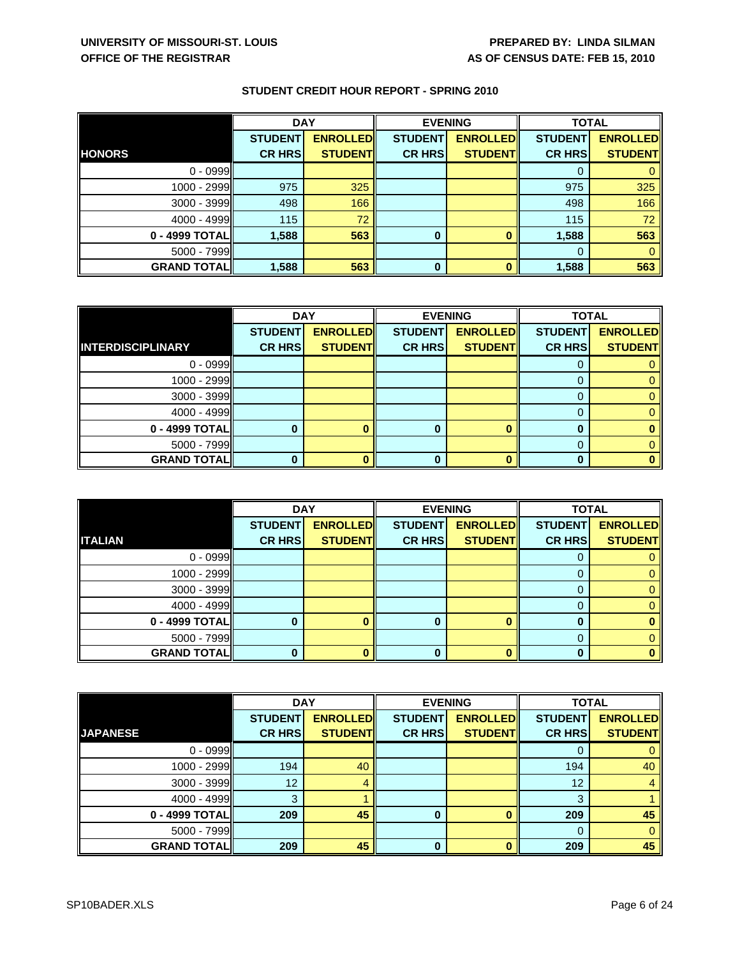|                    | <b>DAY</b>     |                 | <b>EVENING</b> |                 | <b>TOTAL</b>   |                 |
|--------------------|----------------|-----------------|----------------|-----------------|----------------|-----------------|
|                    | <b>STUDENT</b> | <b>ENROLLED</b> | <b>STUDENT</b> | <b>ENROLLED</b> | <b>STUDENT</b> | <b>ENROLLED</b> |
| <b>HONORS</b>      | <b>CR HRS</b>  | <b>STUDENT</b>  | <b>CR HRS</b>  | <b>STUDENTI</b> | <b>CR HRS</b>  | <b>STUDENT</b>  |
| $0 - 0999$         |                |                 |                |                 | 0              |                 |
| 1000 - 2999        | 975            | 325             |                |                 | 975            | 325             |
| $3000 - 3999$      | 498            | 166             |                |                 | 498            | 166             |
| 4000 - 4999        | 115            | 72              |                |                 | 115            | 72              |
| 0 - 4999 TOTAL     | 1,588          | 563             | 0              |                 | 1,588          | 563             |
| $5000 - 7999$      |                |                 |                |                 | 0              |                 |
| <b>GRAND TOTAL</b> | 1,588          | 563             | 0              |                 | 1,588          | 563             |

|                          | <b>DAY</b>     |                 |                | <b>EVENING</b>  | <b>TOTAL</b>   |                 |
|--------------------------|----------------|-----------------|----------------|-----------------|----------------|-----------------|
|                          | <b>STUDENT</b> | <b>ENROLLED</b> | <b>STUDENT</b> | <b>ENROLLED</b> | <b>STUDENT</b> | <b>ENROLLED</b> |
| <b>INTERDISCIPLINARY</b> | <b>CR HRS</b>  | <b>STUDENT</b>  | <b>CR HRS</b>  | <b>STUDENT</b>  | <b>CR HRS</b>  | <b>STUDENT</b>  |
| $0 - 0999$               |                |                 |                |                 |                |                 |
| $1000 - 2999$            |                |                 |                |                 |                |                 |
| $3000 - 3999$            |                |                 |                |                 | 0              |                 |
| $4000 - 4999$            |                |                 |                |                 |                |                 |
| $0 - 4999$ TOTAL         |                |                 | 0              |                 | 0              |                 |
| $5000 - 7999$            |                |                 |                |                 |                |                 |
| <b>GRAND TOTAL</b>       |                |                 | ŋ              |                 |                |                 |

|                    | <b>DAY</b>     |                 | <b>EVENING</b> |                 | <b>TOTAL</b>   |                 |
|--------------------|----------------|-----------------|----------------|-----------------|----------------|-----------------|
|                    | <b>STUDENT</b> | <b>ENROLLED</b> | <b>STUDENT</b> | <b>ENROLLED</b> | <b>STUDENT</b> | <b>ENROLLED</b> |
| <b>ITALIAN</b>     | <b>CR HRS</b>  | <b>STUDENT</b>  | <b>CR HRS</b>  | <b>STUDENT</b>  | <b>CR HRS</b>  | <b>STUDENT</b>  |
| $0 - 0999$         |                |                 |                |                 |                |                 |
| 1000 - 2999        |                |                 |                |                 |                |                 |
| 3000 - 3999        |                |                 |                |                 | 0              |                 |
| 4000 - 4999        |                |                 |                |                 |                |                 |
| 0 - 4999 TOTAL     |                |                 |                |                 | 0              |                 |
| $5000 - 7999$      |                |                 |                |                 | 0              |                 |
| <b>GRAND TOTAL</b> |                |                 |                |                 | ŋ              |                 |

|                    | <b>DAY</b>     |                 |                | <b>EVENING</b>  |                | <b>TOTAL</b>    |  |
|--------------------|----------------|-----------------|----------------|-----------------|----------------|-----------------|--|
|                    | <b>STUDENT</b> | <b>ENROLLED</b> | <b>STUDENT</b> | <b>ENROLLED</b> | <b>STUDENT</b> | <b>ENROLLED</b> |  |
| <b>JAPANESE</b>    | <b>CR HRS</b>  | <b>STUDENT</b>  | <b>CR HRS</b>  | <b>STUDENT</b>  | <b>CR HRS</b>  | <b>STUDENT</b>  |  |
| $0 - 0999$         |                |                 |                |                 | 0              |                 |  |
| $1000 - 2999$      | 194            | 40              |                |                 | 194            | 40              |  |
| 3000 - 3999        | 12             |                 |                |                 | 12             |                 |  |
| $4000 - 4999$      | 3              |                 |                |                 | 3              |                 |  |
| 0 - 4999 TOTAL     | 209            | 45              | 0              |                 | 209            | 45              |  |
| $5000 - 7999$      |                |                 |                |                 | 0              |                 |  |
| <b>GRAND TOTAL</b> | 209            | 45              | $\bf{0}$       |                 | 209            | 45              |  |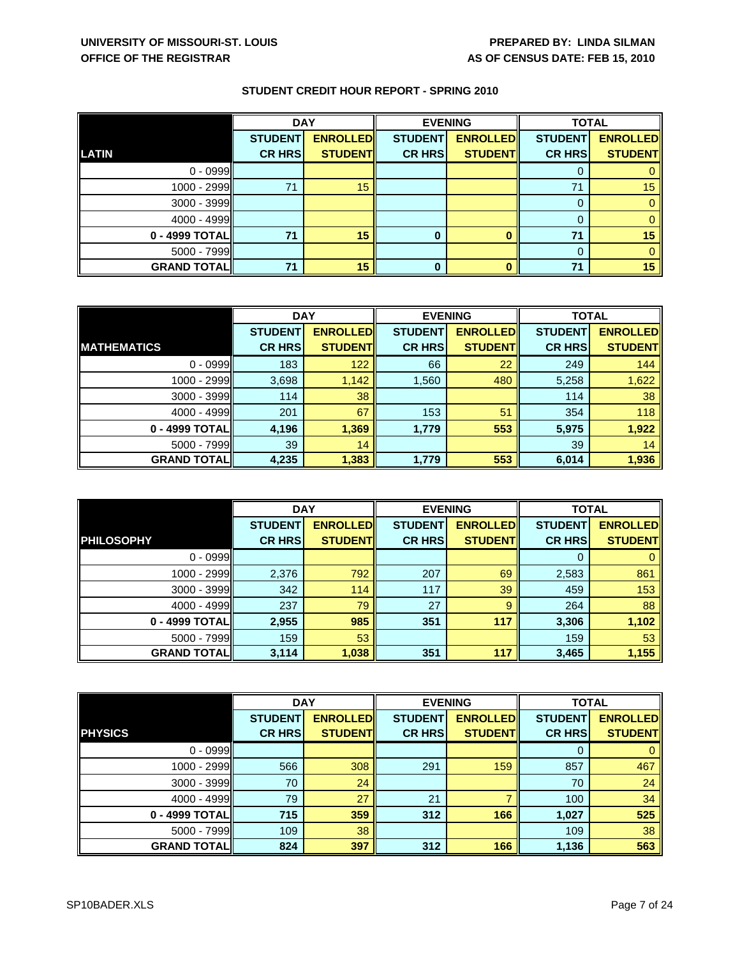|                    | <b>DAY</b>     |                 | <b>EVENING</b> |                 | <b>TOTAL</b>   |                 |
|--------------------|----------------|-----------------|----------------|-----------------|----------------|-----------------|
|                    | <b>STUDENT</b> | <b>ENROLLED</b> | <b>STUDENT</b> | <b>ENROLLED</b> | <b>STUDENT</b> | <b>ENROLLED</b> |
| <b>LATIN</b>       | <b>CR HRS</b>  | <b>STUDENT</b>  | <b>CR HRS</b>  | <b>STUDENT</b>  | <b>CR HRS</b>  | <b>STUDENT</b>  |
| $0 - 0999$         |                |                 |                |                 | 0              |                 |
| $1000 - 2999$      | 71             | 15              |                |                 | 71             | 15              |
| $3000 - 3999$      |                |                 |                |                 | 0              |                 |
| $4000 - 4999$      |                |                 |                |                 | 0              |                 |
| 0 - 4999 TOTAL     | 71             | 15              | $\bf{0}$       |                 | 71             | 15              |
| 5000 - 7999        |                |                 |                |                 | 0              |                 |
| <b>GRAND TOTAL</b> | 71             | 15              | 0              |                 | 71             | 15              |

|                    | <b>DAY</b>     |                 | <b>EVENING</b> |                 | <b>TOTAL</b>   |                 |
|--------------------|----------------|-----------------|----------------|-----------------|----------------|-----------------|
|                    | <b>STUDENT</b> | <b>ENROLLED</b> | <b>STUDENT</b> | <b>ENROLLED</b> | <b>STUDENT</b> | <b>ENROLLED</b> |
| <b>MATHEMATICS</b> | <b>CR HRS</b>  | <b>STUDENT</b>  | <b>CR HRS</b>  | <b>STUDENT</b>  | <b>CR HRS</b>  | <b>STUDENT</b>  |
| $0 - 0999$         | 183            | 122             | 66             | 22              | 249            | 144             |
| 1000 - 2999        | 3,698          | 1,142           | 1,560          | 480             | 5,258          | 1,622           |
| 3000 - 3999        | 114            | 38              |                |                 | 114            | 38              |
| 4000 - 4999        | 201            | 67              | 153            | 51              | 354            | 118             |
| 0 - 4999 TOTAL     | 4,196          | 1,369           | 1,779          | 553             | 5,975          | 1,922           |
| 5000 - 7999        | 39             | 14              |                |                 | 39             | 14              |
| <b>GRAND TOTAL</b> | 4,235          | 1,383           | 1,779          | 553             | 6,014          | 1,936           |

|                    | <b>DAY</b>     |                 | <b>EVENING</b> |                 | <b>TOTAL</b>   |                 |
|--------------------|----------------|-----------------|----------------|-----------------|----------------|-----------------|
|                    | <b>STUDENT</b> | <b>ENROLLED</b> | <b>STUDENT</b> | <b>ENROLLED</b> | <b>STUDENT</b> | <b>ENROLLED</b> |
| <b>PHILOSOPHY</b>  | <b>CR HRS</b>  | <b>STUDENT</b>  | <b>CR HRS</b>  | <b>STUDENT</b>  | <b>CR HRS</b>  | <b>STUDENT</b>  |
| $0 - 0999$         |                |                 |                |                 | 0              |                 |
| 1000 - 2999        | 2,376          | 792             | 207            | 69              | 2,583          | 861             |
| 3000 - 3999        | 342            | 114             | 117            | 39              | 459            | 153             |
| 4000 - 4999        | 237            | 79              | 27             | 9               | 264            | 88              |
| 0 - 4999 TOTAL     | 2,955          | 985             | 351            | 117             | 3,306          | 1,102           |
| $5000 - 7999$      | 159            | 53              |                |                 | 159            | 53              |
| <b>GRAND TOTAL</b> | 3,114          | 1,038           | 351            | 117             | 3,465          | 1,155           |

|                    | <b>DAY</b>     |                 | <b>EVENING</b> |                 | <b>TOTAL</b>   |                 |
|--------------------|----------------|-----------------|----------------|-----------------|----------------|-----------------|
|                    | <b>STUDENT</b> | <b>ENROLLED</b> | <b>STUDENT</b> | <b>ENROLLED</b> | <b>STUDENT</b> | <b>ENROLLED</b> |
| <b>PHYSICS</b>     | <b>CR HRS</b>  | <b>STUDENT</b>  | <b>CR HRS</b>  | <b>STUDENT</b>  | <b>CR HRS</b>  | <b>STUDENT</b>  |
| $0 - 0999$         |                |                 |                |                 | 0              |                 |
| $1000 - 2999$      | 566            | 308             | 291            | 159             | 857            | 467             |
| $3000 - 3999$      | 70             | 24              |                |                 | 70             | 24              |
| $4000 - 4999$      | 79             | 27              | 21             |                 | 100            | 34              |
| 0 - 4999 TOTAL     | 715            | 359             | 312            | 166             | 1,027          | 525             |
| $5000 - 7999$      | 109            | 38              |                |                 | 109            | 38              |
| <b>GRAND TOTAL</b> | 824            | 397             | 312            | 166             | 1,136          | 563             |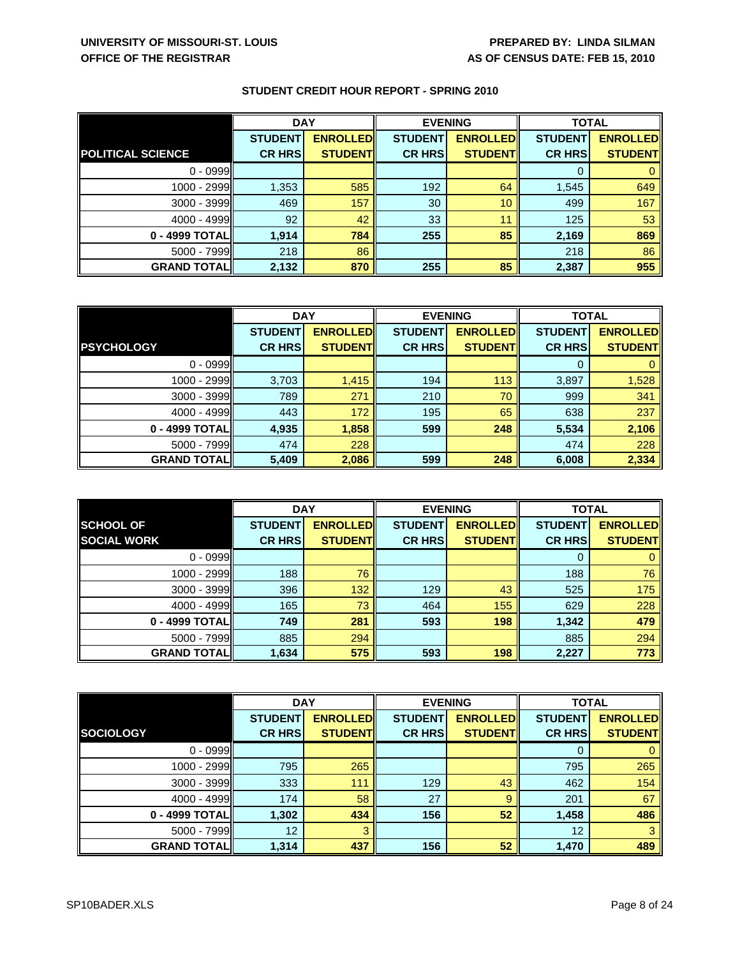|                          | <b>DAY</b>     |                 | <b>EVENING</b> |                 | <b>TOTAL</b>   |                 |
|--------------------------|----------------|-----------------|----------------|-----------------|----------------|-----------------|
|                          | <b>STUDENT</b> | <b>ENROLLED</b> | <b>STUDENT</b> | <b>ENROLLED</b> | <b>STUDENT</b> | <b>ENROLLED</b> |
| <b>POLITICAL SCIENCE</b> | <b>CR HRS</b>  | <b>STUDENT</b>  | <b>CR HRS</b>  | <b>STUDENT</b>  | <b>CR HRS</b>  | <b>STUDENT</b>  |
| $0 - 0999$               |                |                 |                |                 |                |                 |
| 1000 - 2999              | 1,353          | 585             | 192            | 64              | 1,545          | 649             |
| 3000 - 3999              | 469            | 157             | 30             | 10              | 499            | 167             |
| 4000 - 4999              | 92             | 42              | 33             | 11              | 125            | 53              |
| 0 - 4999 TOTAL           | 1,914          | 784             | 255            | 85              | 2,169          | 869             |
| 5000 - 7999              | 218            | 86              |                |                 | 218            | 86              |
| <b>GRAND TOTAL</b>       | 2,132          | 870             | 255            | 85              | 2,387          | 955             |

|                    | <b>DAY</b>     |                 | <b>EVENING</b> |                 | <b>TOTAL</b>   |                 |
|--------------------|----------------|-----------------|----------------|-----------------|----------------|-----------------|
|                    | <b>STUDENT</b> | <b>ENROLLED</b> | <b>STUDENT</b> | <b>ENROLLED</b> | <b>STUDENT</b> | <b>ENROLLED</b> |
| <b>PSYCHOLOGY</b>  | <b>CR HRS</b>  | <b>STUDENT</b>  | <b>CR HRS</b>  | <b>STUDENT</b>  | <b>CR HRS</b>  | <b>STUDENT</b>  |
| $0 - 0999$         |                |                 |                |                 | 0              |                 |
| 1000 - 2999        | 3,703          | 1,415           | 194            | 113             | 3,897          | 1,528           |
| $3000 - 3999$      | 789            | 271             | 210            | 70              | 999            | 341             |
| $4000 - 4999$      | 443            | 172             | 195            | 65              | 638            | 237             |
| 0 - 4999 TOTAL     | 4,935          | 1,858           | 599            | 248             | 5,534          | 2,106           |
| 5000 - 7999        | 474            | 228             |                |                 | 474            | 228             |
| <b>GRAND TOTAL</b> | 5,409          | 2,086           | 599            | 248             | 6,008          | 2,334           |

|                    | <b>DAY</b>     |                 | <b>EVENING</b> |                 | <b>TOTAL</b>   |                 |
|--------------------|----------------|-----------------|----------------|-----------------|----------------|-----------------|
| <b>SCHOOL OF</b>   | <b>STUDENT</b> | <b>ENROLLED</b> | <b>STUDENT</b> | <b>ENROLLED</b> | <b>STUDENT</b> | <b>ENROLLED</b> |
| <b>SOCIAL WORK</b> | <b>CR HRS</b>  | <b>STUDENT</b>  | <b>CR HRS</b>  | <b>STUDENT</b>  | <b>CR HRS</b>  | <b>STUDENTI</b> |
| $0 - 0999$         |                |                 |                |                 | 0              |                 |
| $1000 - 2999$      | 188            | 76              |                |                 | 188            | 76              |
| $3000 - 3999$      | 396            | 132             | 129            | 43              | 525            | 175             |
| $4000 - 4999$      | 165            | 73              | 464            | 155             | 629            | 228             |
| 0 - 4999 TOTAL     | 749            | 281             | 593            | 198             | 1,342          | 479             |
| $5000 - 7999$      | 885            | 294             |                |                 | 885            | 294             |
| <b>GRAND TOTAL</b> | 1,634          | 575             | 593            | 198             | 2,227          | 773             |

|                    | <b>DAY</b>     |                  | <b>EVENING</b> |                 | <b>TOTAL</b>   |                 |
|--------------------|----------------|------------------|----------------|-----------------|----------------|-----------------|
|                    | <b>STUDENT</b> | <b>ENROLLEDI</b> | <b>STUDENT</b> | <b>ENROLLED</b> | <b>STUDENT</b> | <b>ENROLLED</b> |
| <b>SOCIOLOGY</b>   | <b>CR HRS</b>  | <b>STUDENT</b>   | <b>CR HRS</b>  | <b>STUDENT</b>  | <b>CR HRS</b>  | <b>STUDENT</b>  |
| $0 - 0999$         |                |                  |                |                 | 0              |                 |
| 1000 - 2999        | 795            | 265              |                |                 | 795            | 265             |
| 3000 - 3999        | 333            | 111              | 129            | 43              | 462            | 154             |
| $4000 - 4999$      | 174            | 58               | 27             | 9               | 201            | 67              |
| 0 - 4999 TOTALI    | 1,302          | 434              | 156            | 52              | 1,458          | 486             |
| 5000 - 7999        | 12             |                  |                |                 | 12             |                 |
| <b>GRAND TOTAL</b> | 1,314          | 437              | 156            | 52              | 1,470          | 489             |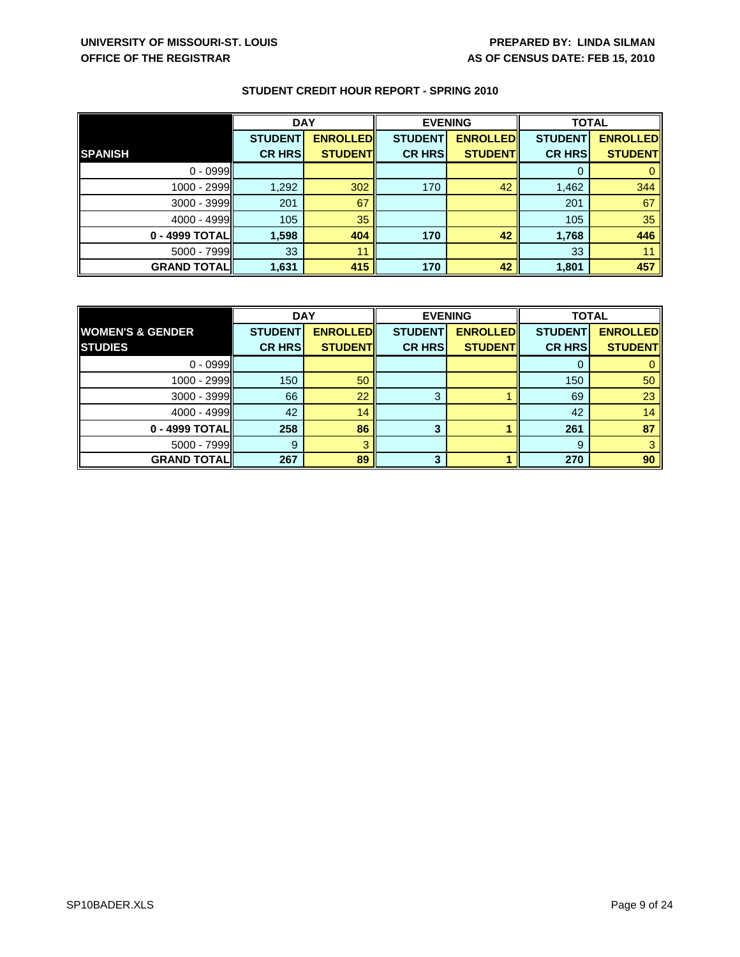|                     | <b>DAY</b>     |                 | <b>EVENING</b> |                 | <b>TOTAL</b>   |                 |
|---------------------|----------------|-----------------|----------------|-----------------|----------------|-----------------|
|                     | <b>STUDENT</b> | <b>ENROLLED</b> | <b>STUDENT</b> | <b>ENROLLED</b> | <b>STUDENT</b> | <b>ENROLLED</b> |
| <b>SPANISH</b>      | <b>CR HRS</b>  | <b>STUDENT</b>  | <b>CR HRS</b>  | <b>STUDENT</b>  | <b>CR HRS</b>  | <b>STUDENT</b>  |
| $0 - 0999$          |                |                 |                |                 | 0              |                 |
| 1000 - 2999         | 1,292          | 302             | 170            | 42              | 1,462          | 344             |
| $3000 - 3999$       | 201            | 67              |                |                 | 201            | 67              |
| 4000 - 4999         | 105            | 35              |                |                 | 105            | 35              |
| 0 - 4999 TOTAL      | 1,598          | 404             | 170            | 42              | 1,768          | 446             |
| $5000 - 7999$       | 33             | 11              |                |                 | 33             | 11              |
| <b>GRAND TOTALI</b> | 1,631          | 415             | 170            | 42              | 1,801          | 457             |

|                             | <b>DAY</b>     |                 | <b>EVENING</b> |                 | <b>TOTAL</b>   |                 |
|-----------------------------|----------------|-----------------|----------------|-----------------|----------------|-----------------|
| <b>WOMEN'S &amp; GENDER</b> | <b>STUDENT</b> | <b>ENROLLED</b> | <b>STUDENT</b> | <b>ENROLLED</b> | <b>STUDENT</b> | <b>ENROLLED</b> |
| <b>STUDIES</b>              | <b>CR HRS</b>  | <b>STUDENT</b>  | <b>CR HRS</b>  | <b>STUDENT</b>  | <b>CR HRS</b>  | <b>STUDENT</b>  |
| $0 - 0999$                  |                |                 |                |                 | 0              |                 |
| $1000 - 2999$               | 150            | 50              |                |                 | 150            | 50              |
| 3000 - 3999                 | 66             | 22              | 3              |                 | 69             | 23              |
| 4000 - 4999                 | 42             | 14              |                |                 | 42             | 14              |
| 0 - 4999 TOTAL              | 258            | 86              | 3              |                 | 261            | 87              |
| $5000 - 7999$               | 9              |                 |                |                 | 9              |                 |
| <b>GRAND TOTAL</b>          | 267            | 89              | 3              |                 | 270            | 90              |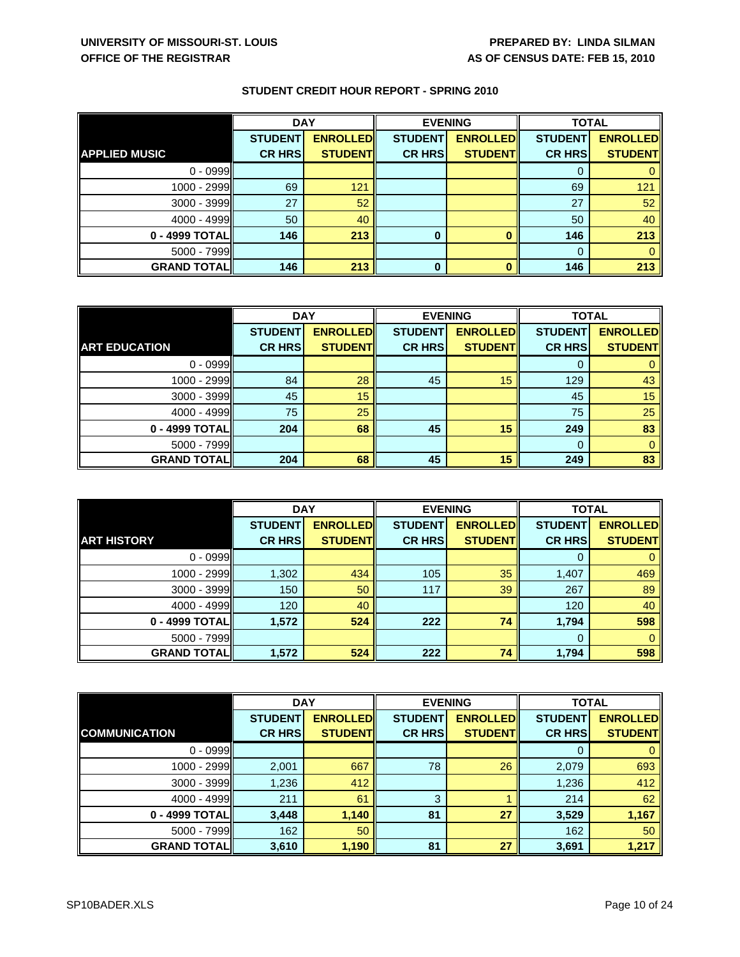|                      | <b>DAY</b>     |                 | <b>EVENING</b> |                 | <b>TOTAL</b>   |                 |
|----------------------|----------------|-----------------|----------------|-----------------|----------------|-----------------|
|                      | <b>STUDENT</b> | <b>ENROLLED</b> | <b>STUDENT</b> | <b>ENROLLED</b> | <b>STUDENT</b> | <b>ENROLLED</b> |
| <b>APPLIED MUSIC</b> | <b>CR HRS</b>  | <b>STUDENT</b>  | <b>CR HRS</b>  | <b>STUDENT</b>  | <b>CR HRS</b>  | <b>STUDENT</b>  |
| $0 - 0999$           |                |                 |                |                 | 0              |                 |
| 1000 - 2999          | 69             | 121             |                |                 | 69             | 121             |
| 3000 - 3999          | 27             | 52              |                |                 | 27             | 52              |
| $4000 - 4999$        | 50             | 40              |                |                 | 50             | 40              |
| 0 - 4999 TOTAL       | 146            | 213             | 0              |                 | 146            | 213             |
| 5000 - 7999          |                |                 |                |                 | $\Omega$       |                 |
| <b>GRAND TOTAL</b>   | 146            | 213             | 0              |                 | 146            | 213             |

|                      | <b>DAY</b>     |                 | <b>EVENING</b> |                 | <b>TOTAL</b>   |                 |
|----------------------|----------------|-----------------|----------------|-----------------|----------------|-----------------|
|                      | <b>STUDENT</b> | <b>ENROLLED</b> | <b>STUDENT</b> | <b>ENROLLED</b> | <b>STUDENT</b> | <b>ENROLLED</b> |
| <b>ART EDUCATION</b> | <b>CR HRS</b>  | <b>STUDENT</b>  | <b>CR HRS</b>  | <b>STUDENT</b>  | <b>CR HRS</b>  | <b>STUDENT</b>  |
| $0 - 0999$           |                |                 |                |                 | 0              |                 |
| $1000 - 2999$        | 84             | 28              | 45             | 15              | 129            | 43              |
| $3000 - 3999$        | 45             | 15              |                |                 | 45             | 15              |
| $4000 - 4999$        | 75             | 25              |                |                 | 75             | 25              |
| 0 - 4999 TOTAL       | 204            | 68              | 45             | 15              | 249            | 83              |
| $5000 - 7999$        |                |                 |                |                 | 0              | 0               |
| <b>GRAND TOTALI</b>  | 204            | 68              | 45             | 15              | 249            | 83              |

|                    | <b>DAY</b>     |                 | <b>EVENING</b> |                 | <b>TOTAL</b>   |                 |
|--------------------|----------------|-----------------|----------------|-----------------|----------------|-----------------|
|                    | <b>STUDENT</b> | <b>ENROLLED</b> | <b>STUDENT</b> | <b>ENROLLED</b> | <b>STUDENT</b> | <b>ENROLLED</b> |
| <b>ART HISTORY</b> | <b>CR HRS</b>  | <b>STUDENT</b>  | <b>CR HRS</b>  | <b>STUDENT</b>  | <b>CR HRS</b>  | <b>STUDENT</b>  |
| $0 - 0999$         |                |                 |                |                 | 0              |                 |
| 1000 - 2999        | 1,302          | 434             | 105            | 35              | 1,407          | 469             |
| 3000 - 3999        | 150            | 50              | 117            | 39              | 267            | 89              |
| $4000 - 4999$      | 120            | 40              |                |                 | 120            | 40              |
| 0 - 4999 TOTAL     | 1,572          | 524             | 222            | 74              | 1,794          | 598             |
| 5000 - 7999        |                |                 |                |                 | 0              |                 |
| <b>GRAND TOTAL</b> | 1,572          | 524             | 222            | 74              | 1,794          | 598             |

|                      | <b>DAY</b>     |                 | <b>EVENING</b> |                 | <b>TOTAL</b>   |                 |
|----------------------|----------------|-----------------|----------------|-----------------|----------------|-----------------|
|                      | <b>STUDENT</b> | <b>ENROLLED</b> | <b>STUDENT</b> | <b>ENROLLED</b> | <b>STUDENT</b> | <b>ENROLLED</b> |
| <b>COMMUNICATION</b> | <b>CR HRS</b>  | <b>STUDENT</b>  | <b>CR HRS</b>  | <b>STUDENT</b>  | <b>CR HRS</b>  | <b>STUDENT</b>  |
| $0 - 0999$           |                |                 |                |                 | 0              |                 |
| $1000 - 2999$        | 2,001          | 667             | 78             | 26              | 2,079          | 693             |
| 3000 - 3999          | 1,236          | 412             |                |                 | 1,236          | 412             |
| $4000 - 4999$        | 211            | 61              | 3              |                 | 214            | 62              |
| 0 - 4999 TOTAL       | 3,448          | 1,140           | 81             | 27              | 3,529          | 1,167           |
| 5000 - 7999          | 162            | 50              |                |                 | 162            | 50              |
| <b>GRAND TOTAL</b>   | 3,610          | 1,190           | 81             | 27              | 3,691          | 1,217           |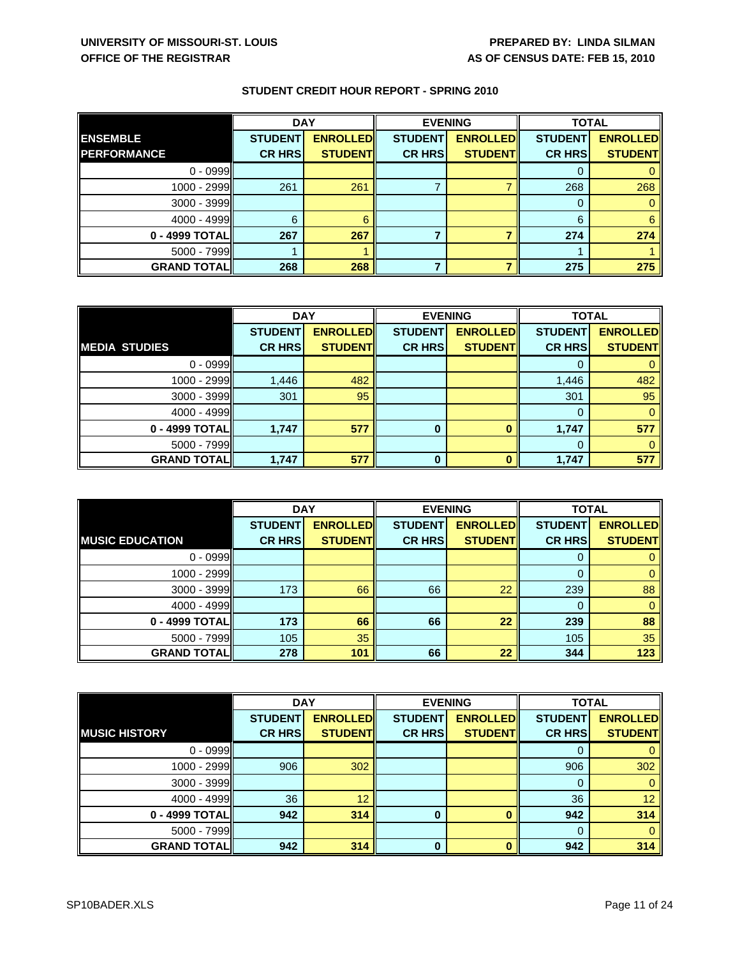|                    | <b>DAY</b>     |                 | <b>EVENING</b> |                 | <b>TOTAL</b>   |                 |
|--------------------|----------------|-----------------|----------------|-----------------|----------------|-----------------|
| <b>ENSEMBLE</b>    | <b>STUDENT</b> | <b>ENROLLED</b> | <b>STUDENT</b> | <b>ENROLLED</b> | <b>STUDENT</b> | <b>ENROLLED</b> |
| <b>PERFORMANCE</b> | <b>CR HRS</b>  | <b>STUDENT</b>  | <b>CR HRS</b>  | <b>STUDENTI</b> | <b>CR HRS</b>  | <b>STUDENT</b>  |
| $0 - 0999$         |                |                 |                |                 |                |                 |
| 1000 - 2999        | 261            | 261             |                |                 | 268            | 268             |
| $3000 - 3999$      |                |                 |                |                 |                |                 |
| 4000 - 4999        | 6              |                 |                |                 | 6              |                 |
| 0 - 4999 TOTAL     | 267            | 267             |                |                 | 274            | 274             |
| $5000 - 7999$      |                |                 |                |                 |                |                 |
| <b>GRAND TOTAL</b> | 268            | 268             |                |                 | 275            | 275             |

|                      | <b>DAY</b>     |                 | <b>EVENING</b> |                 | <b>TOTAL</b>   |                 |
|----------------------|----------------|-----------------|----------------|-----------------|----------------|-----------------|
|                      | <b>STUDENT</b> | <b>ENROLLED</b> | <b>STUDENT</b> | <b>ENROLLED</b> | <b>STUDENT</b> | <b>ENROLLED</b> |
| <b>MEDIA STUDIES</b> | <b>CR HRS</b>  | <b>STUDENT</b>  | <b>CR HRS</b>  | <b>STUDENT</b>  | <b>CR HRS</b>  | <b>STUDENT</b>  |
| $0 - 0999$           |                |                 |                |                 |                |                 |
| 1000 - 2999          | 1,446          | 482             |                |                 | 1,446          | 482             |
| $3000 - 3999$        | 301            | 95              |                |                 | 301            | 95              |
| $4000 - 4999$        |                |                 |                |                 | $\Omega$       | 0               |
| 0 - 4999 TOTAL       | 1,747          | 577             | 0              |                 | 1,747          | 577             |
| $5000 - 7999$        |                |                 |                |                 | 0              |                 |
| <b>GRAND TOTALII</b> | 1,747          | 577             | $\bf{0}$       | n               | 1,747          | 577             |

|                        | <b>DAY</b>     |                 | <b>EVENING</b> |                 | <b>TOTAL</b>   |                 |
|------------------------|----------------|-----------------|----------------|-----------------|----------------|-----------------|
|                        | <b>STUDENT</b> | <b>ENROLLED</b> | <b>STUDENT</b> | <b>ENROLLED</b> | <b>STUDENT</b> | <b>ENROLLED</b> |
| <b>MUSIC EDUCATION</b> | <b>CR HRS</b>  | <b>STUDENT</b>  | <b>CR HRS</b>  | <b>STUDENT</b>  | <b>CR HRS</b>  | <b>STUDENT</b>  |
| $0 - 0999$             |                |                 |                |                 | 0              |                 |
| 1000 - 2999            |                |                 |                |                 | $\Omega$       |                 |
| 3000 - 3999            | 173            | 66              | 66             | 22              | 239            | 88              |
| $4000 - 4999$          |                |                 |                |                 | 0              |                 |
| 0 - 4999 TOTAL         | 173            | 66              | 66             | 22              | 239            | 88              |
| 5000 - 7999            | 105            | 35              |                |                 | 105            | 35              |
| <b>GRAND TOTAL</b>     | 278            | 101             | 66             | 22              | 344            | 123             |

|                      | <b>DAY</b>     |                 | <b>EVENING</b> |                 | <b>TOTAL</b>   |                 |
|----------------------|----------------|-----------------|----------------|-----------------|----------------|-----------------|
|                      | <b>STUDENT</b> | <b>ENROLLED</b> | <b>STUDENT</b> | <b>ENROLLED</b> | <b>STUDENT</b> | <b>ENROLLED</b> |
| <b>MUSIC HISTORY</b> | <b>CR HRS</b>  | <b>STUDENT</b>  | <b>CR HRS</b>  | <b>STUDENT</b>  | <b>CR HRS</b>  | <b>STUDENT</b>  |
| $0 - 0999$           |                |                 |                |                 | 0              |                 |
| $1000 - 2999$        | 906            | 302             |                |                 | 906            | 302             |
| 3000 - 3999          |                |                 |                |                 | 0              |                 |
| 4000 - 4999          | 36             | 12              |                |                 | 36             | 12              |
| 0 - 4999 TOTAL       | 942            | 314             | 0              |                 | 942            | 314             |
| 5000 - 7999          |                |                 |                |                 | $\Omega$       |                 |
| <b>GRAND TOTAL</b>   | 942            | 314             | $\bf{0}$       |                 | 942            | 314             |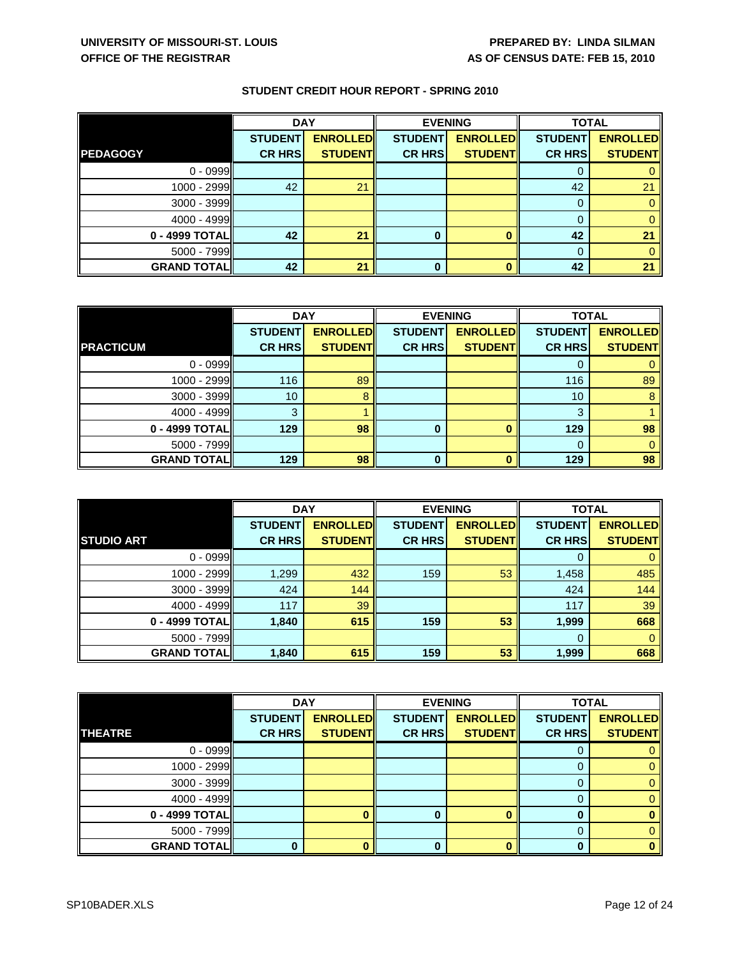|                    | <b>DAY</b>     |                 | <b>EVENING</b> |                 | <b>TOTAL</b>   |                 |
|--------------------|----------------|-----------------|----------------|-----------------|----------------|-----------------|
|                    | <b>STUDENT</b> | <b>ENROLLED</b> | <b>STUDENT</b> | <b>ENROLLED</b> | <b>STUDENT</b> | <b>ENROLLED</b> |
| <b>PEDAGOGY</b>    | <b>CR HRS</b>  | <b>STUDENT</b>  | <b>CR HRS</b>  | <b>STUDENTI</b> | <b>CR HRS</b>  | <b>STUDENT</b>  |
| $0 - 0999$         |                |                 |                |                 | O              |                 |
| 1000 - 2999        | 42             | 21              |                |                 | 42             | 21              |
| $3000 - 3999$      |                |                 |                |                 | 0              |                 |
| $4000 - 4999$      |                |                 |                |                 | $\Omega$       |                 |
| 0 - 4999 TOTAL     | 42             | 21              |                |                 | 42             | 21              |
| $5000 - 7999$      |                |                 |                |                 | 0              |                 |
| <b>GRAND TOTAL</b> | 42             | 21              | 0              |                 | 42             | 21              |

|                    | <b>DAY</b>     |                 | <b>EVENING</b> |                 | <b>TOTAL</b>   |                 |
|--------------------|----------------|-----------------|----------------|-----------------|----------------|-----------------|
|                    | <b>STUDENT</b> | <b>ENROLLED</b> | <b>STUDENT</b> | <b>ENROLLED</b> | <b>STUDENT</b> | <b>ENROLLED</b> |
| <b>PRACTICUM</b>   | <b>CR HRS</b>  | <b>STUDENT</b>  | <b>CR HRS</b>  | <b>STUDENT</b>  | <b>CR HRS</b>  | <b>STUDENT</b>  |
| $0 - 0999$         |                |                 |                |                 |                |                 |
| $1000 - 2999$      | 116            | 89              |                |                 | 116            | 89              |
| $3000 - 3999$      | 10             | 8               |                |                 | 10             | 8               |
| $4000 - 4999$      | 3              |                 |                |                 | 3              |                 |
| 0 - 4999 TOTAL     | 129            | 98              | 0              |                 | 129            | 98              |
| $5000 - 7999$      |                |                 |                |                 | 0              |                 |
| <b>GRAND TOTAL</b> | 129            | 98              | 0              |                 | 129            | 98              |

|                    | <b>DAY</b>     |                 | <b>EVENING</b> |                 | <b>TOTAL</b>   |                 |
|--------------------|----------------|-----------------|----------------|-----------------|----------------|-----------------|
|                    | <b>STUDENT</b> | <b>ENROLLED</b> | <b>STUDENT</b> | <b>ENROLLED</b> | <b>STUDENT</b> | <b>ENROLLED</b> |
| <b>STUDIO ART</b>  | <b>CR HRS</b>  | <b>STUDENT</b>  | <b>CR HRS</b>  | <b>STUDENT</b>  | <b>CR HRS</b>  | <b>STUDENT</b>  |
| $0 - 0999$         |                |                 |                |                 | 0              |                 |
| 1000 - 2999        | 1,299          | 432             | 159            | 53              | 1,458          | 485             |
| 3000 - 3999        | 424            | 144             |                |                 | 424            | 144             |
| 4000 - 4999        | 117            | 39              |                |                 | 117            | 39              |
| 0 - 4999 TOTAL     | 1,840          | 615             | 159            | 53              | 1,999          | 668             |
| $5000 - 7999$      |                |                 |                |                 | 0              |                 |
| <b>GRAND TOTAL</b> | 1,840          | 615             | 159            | 53              | 1,999          | 668             |

|                    | <b>DAY</b>     |                 | <b>EVENING</b> |                 | <b>TOTAL</b>   |                 |
|--------------------|----------------|-----------------|----------------|-----------------|----------------|-----------------|
|                    | <b>STUDENT</b> | <b>ENROLLED</b> | <b>STUDENT</b> | <b>ENROLLED</b> | <b>STUDENT</b> | <b>ENROLLED</b> |
| <b>THEATRE</b>     | <b>CR HRS</b>  | <b>STUDENT</b>  | <b>CR HRS</b>  | <b>STUDENT</b>  | <b>CR HRS</b>  | <b>STUDENT</b>  |
| $0 - 0999$         |                |                 |                |                 | 0              |                 |
| $1000 - 2999$      |                |                 |                |                 | 0              |                 |
| $3000 - 3999$      |                |                 |                |                 | 0              |                 |
| $4000 - 4999$      |                |                 |                |                 | 0              |                 |
| 0 - 4999 TOTAL     |                |                 |                |                 | 0              |                 |
| 5000 - 7999        |                |                 |                |                 | $\Omega$       |                 |
| <b>GRAND TOTAL</b> |                |                 | 0              |                 | 0              |                 |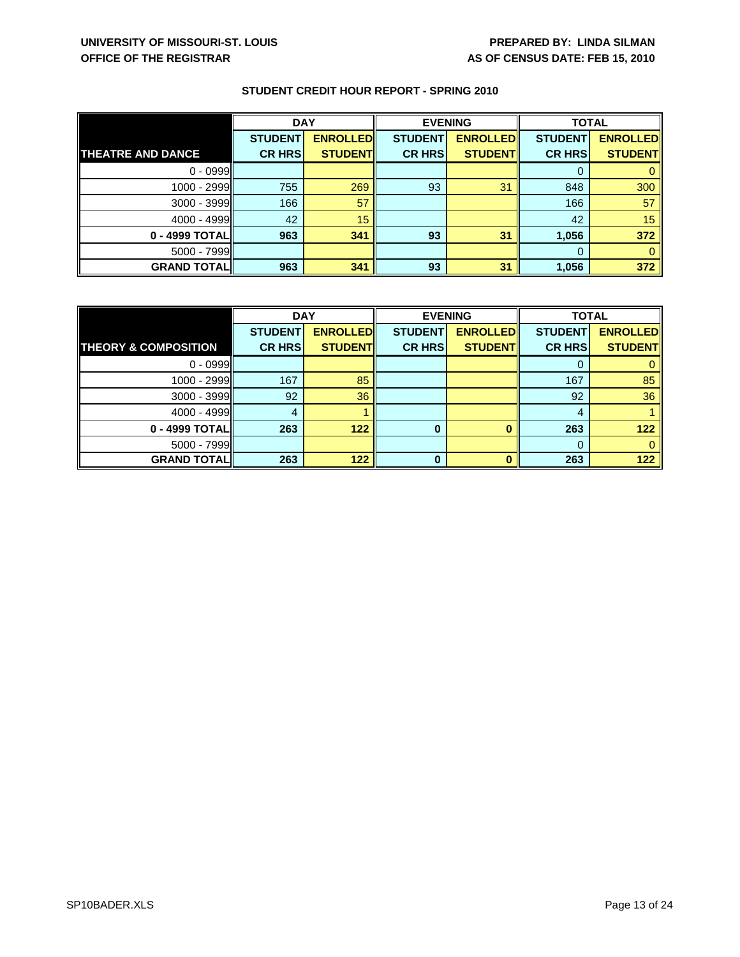|                          | <b>DAY</b>     |                 | <b>EVENING</b> |                 | <b>TOTAL</b>   |                 |
|--------------------------|----------------|-----------------|----------------|-----------------|----------------|-----------------|
|                          | <b>STUDENT</b> | <b>ENROLLED</b> | <b>STUDENT</b> | <b>ENROLLED</b> | <b>STUDENT</b> | <b>ENROLLED</b> |
| <b>THEATRE AND DANCE</b> | <b>CR HRS</b>  | <b>STUDENT</b>  | <b>CR HRS</b>  | <b>STUDENT</b>  | <b>CR HRS</b>  | <b>STUDENT</b>  |
| $0 - 0999$               |                |                 |                |                 | 0              |                 |
| 1000 - 2999              | 755            | 269             | 93             | 31              | 848            | 300             |
| $3000 - 3999$            | 166            | 57              |                |                 | 166            | 57              |
| 4000 - 4999              | 42             | 15              |                |                 | 42             | 15              |
| 0 - 4999 TOTAL           | 963            | 341             | 93             | 31              | 1,056          | 372             |
| $5000 - 7999$            |                |                 |                |                 | 0              |                 |
| <b>GRAND TOTALI</b>      | 963            | 341             | 93             | 31              | 1,056          | 372             |

|                                 | <b>DAY</b>     |                 | <b>EVENING</b> |                 | <b>TOTAL</b>   |                 |
|---------------------------------|----------------|-----------------|----------------|-----------------|----------------|-----------------|
|                                 | <b>STUDENT</b> | <b>ENROLLED</b> | <b>STUDENT</b> | <b>ENROLLED</b> | <b>STUDENT</b> | <b>ENROLLED</b> |
| <b>THEORY &amp; COMPOSITION</b> | <b>CR HRS</b>  | <b>STUDENT</b>  | <b>CR HRS</b>  | <b>STUDENT</b>  | <b>CR HRS</b>  | <b>STUDENT</b>  |
| $0 - 0999$                      |                |                 |                |                 |                |                 |
| 1000 - 2999                     | 167            | 85              |                |                 | 167            | 85              |
| 3000 - 3999                     | 92             | 36              |                |                 | 92             | 36              |
| $4000 - 4999$                   | 4              |                 |                |                 | 4              |                 |
| 0 - 4999 TOTAL                  | 263            | 122             | 0              |                 | 263            | 122             |
| $5000 - 7999$                   |                |                 |                |                 | 0              |                 |
| <b>GRAND TOTAL</b>              | 263            | 122             | 0              |                 | 263            | 122             |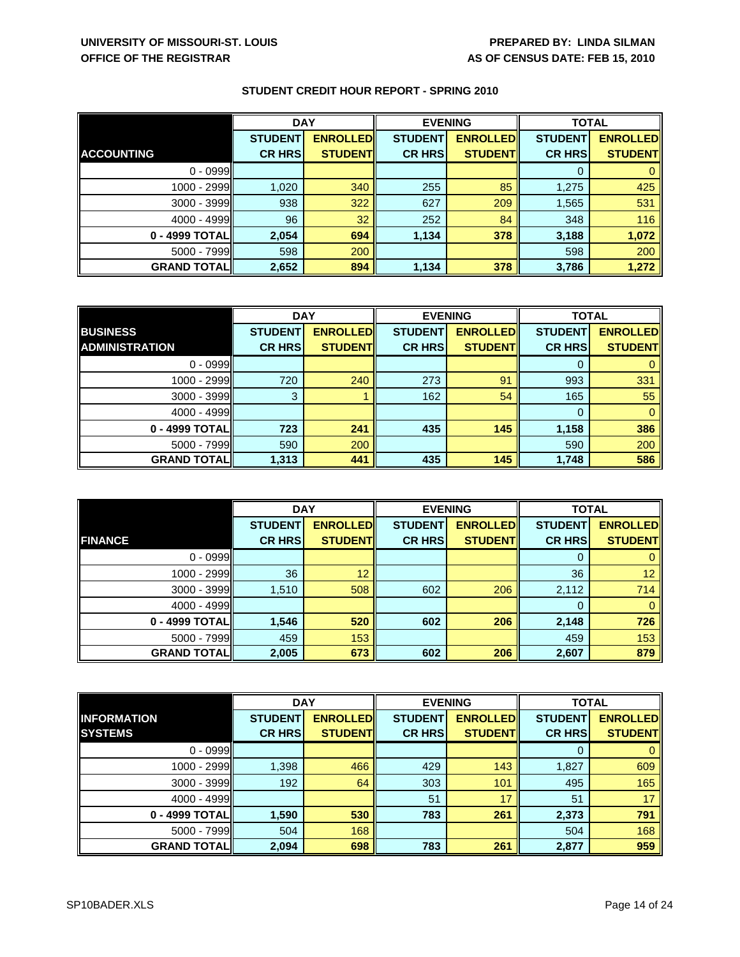|                    | <b>DAY</b>     |                 | <b>EVENING</b> |                 | <b>TOTAL</b>   |                 |
|--------------------|----------------|-----------------|----------------|-----------------|----------------|-----------------|
|                    | <b>STUDENT</b> | <b>ENROLLED</b> | <b>STUDENT</b> | <b>ENROLLED</b> | <b>STUDENT</b> | <b>ENROLLED</b> |
| <b>ACCOUNTING</b>  | <b>CR HRS</b>  | <b>STUDENT</b>  | <b>CR HRS</b>  | <b>STUDENT</b>  | <b>CR HRS</b>  | <b>STUDENT</b>  |
| $0 - 0999$         |                |                 |                |                 |                |                 |
| 1000 - 2999        | 1,020          | 340             | 255            | 85              | 1,275          | 425             |
| 3000 - 3999        | 938            | 322             | 627            | 209             | 1,565          | 531             |
| $4000 - 4999$      | 96             | 32              | 252            | 84              | 348            | 116             |
| 0 - 4999 TOTAL     | 2,054          | 694             | 1,134          | 378             | 3,188          | 1,072           |
| 5000 - 7999        | 598            | 200             |                |                 | 598            | 200             |
| <b>GRAND TOTAL</b> | 2,652          | 894             | 1,134          | 378             | 3,786          | 1,272           |

|                       | <b>DAY</b>     |                 | <b>EVENING</b> |                 | <b>TOTAL</b>   |                 |
|-----------------------|----------------|-----------------|----------------|-----------------|----------------|-----------------|
| <b>BUSINESS</b>       | <b>STUDENT</b> | <b>ENROLLED</b> | <b>STUDENT</b> | <b>ENROLLED</b> | <b>STUDENT</b> | <b>ENROLLED</b> |
| <b>ADMINISTRATION</b> | <b>CR HRS</b>  | <b>STUDENT</b>  | <b>CR HRS</b>  | <b>STUDENT</b>  | <b>CR HRS</b>  | <b>STUDENT</b>  |
| $0 - 0999$            |                |                 |                |                 | 0              |                 |
| $1000 - 2999$         | 720            | 240             | 273            | 91              | 993            | 331             |
| $3000 - 3999$         | 3              |                 | 162            | 54              | 165            | 55              |
| $4000 - 4999$         |                |                 |                |                 | $\Omega$       |                 |
| 0 - 4999 TOTAL        | 723            | 241             | 435            | 145             | 1,158          | 386             |
| $5000 - 7999$         | 590            | 200             |                |                 | 590            | 200             |
| <b>GRAND TOTALI</b>   | 1,313          | 441             | 435            | 145             | 1,748          | 586             |

|                    | <b>DAY</b>     |                 | <b>EVENING</b> |                 | <b>TOTAL</b>   |                 |
|--------------------|----------------|-----------------|----------------|-----------------|----------------|-----------------|
|                    | <b>STUDENT</b> | <b>ENROLLED</b> | <b>STUDENT</b> | <b>ENROLLED</b> | <b>STUDENT</b> | <b>ENROLLED</b> |
| <b>FINANCE</b>     | <b>CR HRS</b>  | <b>STUDENT</b>  | <b>CR HRS</b>  | <b>STUDENT</b>  | <b>CR HRS</b>  | <b>STUDENT</b>  |
| $0 - 0999$         |                |                 |                |                 |                |                 |
| 1000 - 2999        | 36             | 12              |                |                 | 36             | 12              |
| 3000 - 3999        | 1,510          | 508             | 602            | 206             | 2,112          | 714             |
| $4000 - 4999$      |                |                 |                |                 | 0              |                 |
| 0 - 4999 TOTAL     | 1,546          | 520             | 602            | 206             | 2,148          | 726             |
| $5000 - 7999$      | 459            | 153             |                |                 | 459            | 153             |
| <b>GRAND TOTAL</b> | 2,005          | 673             | 602            | 206             | 2,607          | 879             |

|                     | <b>DAY</b>     |                 | <b>EVENING</b> |                 | <b>TOTAL</b>   |                 |
|---------------------|----------------|-----------------|----------------|-----------------|----------------|-----------------|
| <b>INFORMATION</b>  | <b>STUDENT</b> | <b>ENROLLED</b> | <b>STUDENT</b> | <b>ENROLLED</b> | <b>STUDENT</b> | <b>ENROLLED</b> |
| <b>SYSTEMS</b>      | <b>CR HRS</b>  | <b>STUDENT</b>  | <b>CR HRS</b>  | <b>STUDENT</b>  | <b>CR HRS</b>  | <b>STUDENTI</b> |
| $0 - 0999$          |                |                 |                |                 | 0              |                 |
| $1000 - 2999$       | 1,398          | 466             | 429            | 143             | 1,827          | 609             |
| 3000 - 3999         | 192            | 64              | 303            | 101             | 495            | 165             |
| $4000 - 4999$       |                |                 | 51             | 17              | 51             | 17              |
| 0 - 4999 TOTAL      | 1,590          | 530             | 783            | 261             | 2,373          | 791             |
| $5000 - 7999$       | 504            | 168             |                |                 | 504            | 168             |
| <b>GRAND TOTALI</b> | 2,094          | 698             | 783            | 261             | 2,877          | 959             |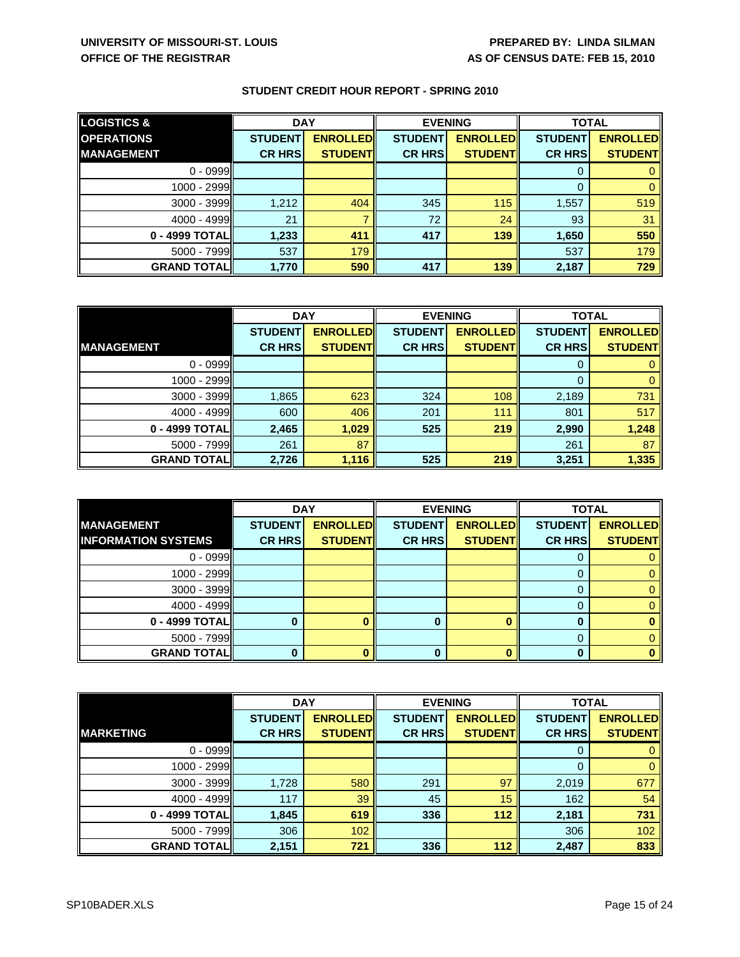| <b>LOGISTICS &amp;</b> | <b>DAY</b>     |                 | <b>EVENING</b> |                  | <b>TOTAL</b>   |                 |
|------------------------|----------------|-----------------|----------------|------------------|----------------|-----------------|
| <b>OPERATIONS</b>      | <b>STUDENT</b> | <b>ENROLLED</b> | <b>STUDENT</b> | <b>ENROLLEDI</b> | <b>STUDENT</b> | <b>ENROLLED</b> |
| <b>MANAGEMENT</b>      | <b>CR HRS</b>  | <b>STUDENT</b>  | <b>CR HRS</b>  | <b>STUDENT</b>   | <b>CR HRS</b>  | <b>STUDENT</b>  |
| $0 - 0999$             |                |                 |                |                  | 0              |                 |
| 1000 - 2999            |                |                 |                |                  | 0              |                 |
| 3000 - 3999            | 1,212          | 404             | 345            | 115              | 1,557          | 519             |
| $4000 - 4999$          | 21             |                 | 72             | 24               | 93             | 31              |
| 0 - 4999 TOTAL         | 1,233          | 411             | 417            | 139              | 1,650          | 550             |
| $5000 - 7999$          | 537            | 179             |                |                  | 537            | 179             |
| <b>GRAND TOTAL</b>     | 1,770          | 590             | 417            | 139              | 2,187          | 729             |

|                     | <b>DAY</b>     |                 | <b>EVENING</b> |                 | <b>TOTAL</b>   |                 |
|---------------------|----------------|-----------------|----------------|-----------------|----------------|-----------------|
|                     | <b>STUDENT</b> | <b>ENROLLED</b> | <b>STUDENT</b> | <b>ENROLLED</b> | <b>STUDENT</b> | <b>ENROLLED</b> |
| <b>MANAGEMENT</b>   | <b>CR HRS</b>  | <b>STUDENT</b>  | <b>CR HRS</b>  | <b>STUDENT</b>  | <b>CR HRS</b>  | <b>STUDENT</b>  |
| $0 - 0999$          |                |                 |                |                 | 0              |                 |
| 1000 - 2999         |                |                 |                |                 | 0              |                 |
| $3000 - 3999$       | 1,865          | 623             | 324            | 108             | 2,189          | 731             |
| $4000 - 4999$       | 600            | 406             | 201            | 111             | 801            | 517             |
| 0 - 4999 TOTAL      | 2,465          | 1,029           | 525            | 219             | 2,990          | 1,248           |
| $5000 - 7999$       | 261            | 87              |                |                 | 261            | 87              |
| <b>GRAND TOTALI</b> | 2,726          | 1,116           | 525            | 219             | 3,251          | 1,335           |

|                            | <b>DAY</b>     |                 | <b>EVENING</b> |                 | <b>TOTAL</b>   |                 |
|----------------------------|----------------|-----------------|----------------|-----------------|----------------|-----------------|
| <b>MANAGEMENT</b>          | <b>STUDENT</b> | <b>ENROLLED</b> | <b>STUDENT</b> | <b>ENROLLED</b> | <b>STUDENT</b> | <b>ENROLLED</b> |
| <b>INFORMATION SYSTEMS</b> | <b>CR HRS</b>  | <b>STUDENT</b>  | <b>CR HRS</b>  | <b>STUDENT</b>  | <b>CR HRS</b>  | <b>STUDENT</b>  |
| $0 - 0999$                 |                |                 |                |                 |                |                 |
| 1000 - 2999                |                |                 |                |                 |                |                 |
| 3000 - 3999                |                |                 |                |                 | 0              |                 |
| $4000 - 4999$              |                |                 |                |                 |                |                 |
| 0 - 4999 TOTAL             |                |                 |                |                 | Ω              |                 |
| 5000 - 7999                |                |                 |                |                 |                |                 |
| <b>GRAND TOTAL</b>         |                |                 |                |                 | Λ              |                 |

|                    | <b>DAY</b>     |                 | <b>EVENING</b> |                 | <b>TOTAL</b>   |                 |
|--------------------|----------------|-----------------|----------------|-----------------|----------------|-----------------|
|                    | <b>STUDENT</b> | <b>ENROLLED</b> | <b>STUDENT</b> | <b>ENROLLED</b> | <b>STUDENT</b> | <b>ENROLLED</b> |
| <b>MARKETING</b>   | <b>CR HRS</b>  | <b>STUDENT</b>  | <b>CR HRS</b>  | <b>STUDENT</b>  | <b>CR HRS</b>  | <b>STUDENT</b>  |
| $0 - 0999$         |                |                 |                |                 | 0              |                 |
| 1000 - 2999        |                |                 |                |                 | 0              |                 |
| 3000 - 3999        | 1,728          | 580             | 291            | 97              | 2,019          | 677             |
| 4000 - 4999        | 117            | 39              | 45             | 15              | 162            | 54              |
| 0 - 4999 TOTAL     | 1,845          | 619             | 336            | 112             | 2,181          | 731             |
| 5000 - 7999        | 306            | 102             |                |                 | 306            | 102             |
| <b>GRAND TOTAL</b> | 2,151          | 721             | 336            | 112             | 2,487          | 833             |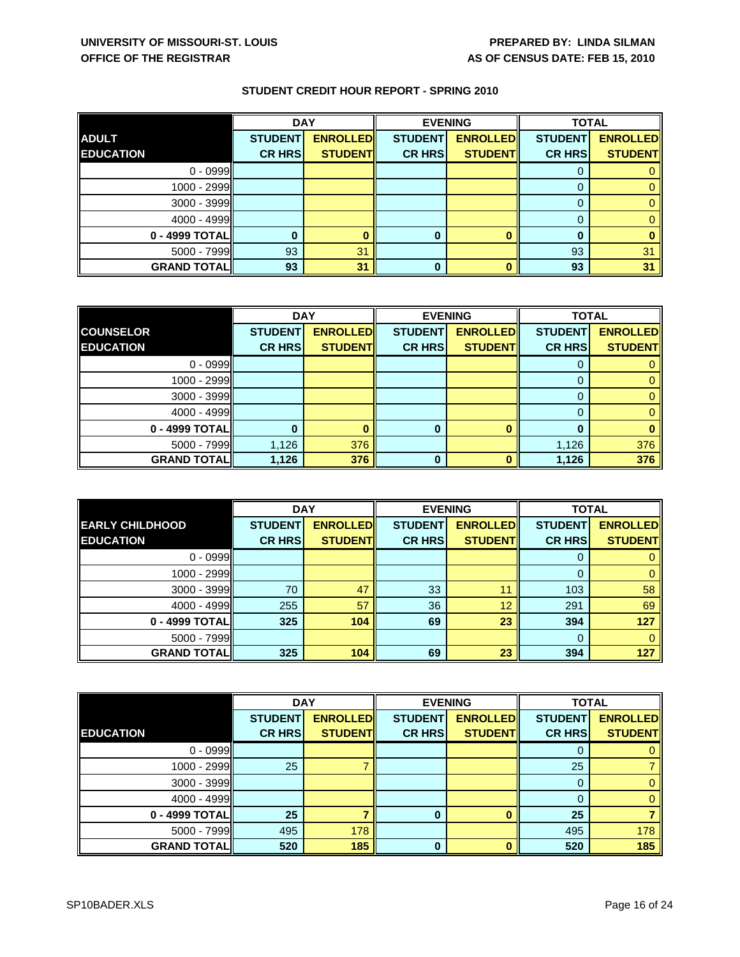|                    | <b>DAY</b>     |                 | <b>EVENING</b> |                 | <b>TOTAL</b>   |                 |
|--------------------|----------------|-----------------|----------------|-----------------|----------------|-----------------|
| <b>ADULT</b>       | <b>STUDENT</b> | <b>ENROLLED</b> | <b>STUDENT</b> | <b>ENROLLED</b> | <b>STUDENT</b> | <b>ENROLLED</b> |
| <b>EDUCATION</b>   | <b>CR HRS</b>  | <b>STUDENT</b>  | <b>CR HRS</b>  | <b>STUDENTI</b> | <b>CR HRS</b>  | <b>STUDENT</b>  |
| $0 - 0999$         |                |                 |                |                 |                |                 |
| 1000 - 2999        |                |                 |                |                 |                |                 |
| $3000 - 3999$      |                |                 |                |                 |                |                 |
| $4000 - 4999$      |                |                 |                |                 |                |                 |
| 0 - 4999 TOTAL     |                |                 |                |                 |                |                 |
| $5000 - 7999$      | 93             | 31              |                |                 | 93             | 31              |
| <b>GRAND TOTAL</b> | 93             | 31              |                |                 | 93             | 31              |

|                     | <b>DAY</b>     |                 | <b>EVENING</b> |                 | <b>TOTAL</b>   |                 |
|---------------------|----------------|-----------------|----------------|-----------------|----------------|-----------------|
| <b>COUNSELOR</b>    | <b>STUDENT</b> | <b>ENROLLED</b> | <b>STUDENT</b> | <b>ENROLLED</b> | <b>STUDENT</b> | <b>ENROLLED</b> |
| <b>EDUCATION</b>    | <b>CR HRS</b>  | <b>STUDENT</b>  | <b>CR HRS</b>  | <b>STUDENT</b>  | <b>CR HRS</b>  | <b>STUDENT</b>  |
| $0 - 0999$          |                |                 |                |                 |                |                 |
| $1000 - 2999$       |                |                 |                |                 | $\Omega$       |                 |
| 3000 - 3999         |                |                 |                |                 | 0              |                 |
| 4000 - 4999         |                |                 |                |                 | $\Omega$       |                 |
| 0 - 4999 TOTAL      |                |                 | 0              |                 |                |                 |
| $5000 - 7999$       | 1,126          | 376             |                |                 | 1,126          | 376             |
| <b>GRAND TOTALI</b> | 1,126          | 376             | O              |                 | 1,126          | 376             |

|                        | <b>DAY</b>     |                 | <b>EVENING</b> |                 | <b>TOTAL</b>   |                 |
|------------------------|----------------|-----------------|----------------|-----------------|----------------|-----------------|
| <b>EARLY CHILDHOOD</b> | <b>STUDENT</b> | <b>ENROLLED</b> | <b>STUDENT</b> | <b>ENROLLED</b> | <b>STUDENT</b> | <b>ENROLLED</b> |
| <b>EDUCATION</b>       | <b>CR HRS</b>  | <b>STUDENT</b>  | <b>CR HRS</b>  | <b>STUDENT</b>  | <b>CR HRS</b>  | <b>STUDENT</b>  |
| $0 - 0999$             |                |                 |                |                 | 0              |                 |
| 1000 - 2999            |                |                 |                |                 | 0              |                 |
| 3000 - 3999            | 70             | 47              | 33             | 11              | 103            | 58              |
| $4000 - 4999$          | 255            | 57              | 36             | 12              | 291            | 69              |
| 0 - 4999 TOTAL         | 325            | 104             | 69             | 23              | 394            | 127             |
| $5000 - 7999$          |                |                 |                |                 | 0              |                 |
| <b>GRAND TOTAL</b>     | 325            | 104             | 69             | 23              | 394            | 127             |

|                    | <b>DAY</b>     |                 | <b>EVENING</b> |                 | <b>TOTAL</b>   |                 |
|--------------------|----------------|-----------------|----------------|-----------------|----------------|-----------------|
|                    | <b>STUDENT</b> | <b>ENROLLED</b> | <b>STUDENT</b> | <b>ENROLLED</b> | <b>STUDENT</b> | <b>ENROLLED</b> |
| <b>EDUCATION</b>   | <b>CR HRS</b>  | <b>STUDENT</b>  | <b>CR HRS</b>  | <b>STUDENT</b>  | <b>CR HRS</b>  | <b>STUDENT</b>  |
| $0 - 0999$         |                |                 |                |                 | 0              |                 |
| $1000 - 2999$      | 25             |                 |                |                 | 25             |                 |
| 3000 - 3999        |                |                 |                |                 | 0              |                 |
| $4000 - 4999$      |                |                 |                |                 | 0              |                 |
| 0 - 4999 TOTAL     | 25             |                 |                |                 | 25             |                 |
| 5000 - 7999        | 495            | 178             |                |                 | 495            | 178             |
| <b>GRAND TOTAL</b> | 520            | 185             | $\bf{0}$       |                 | 520            | 185             |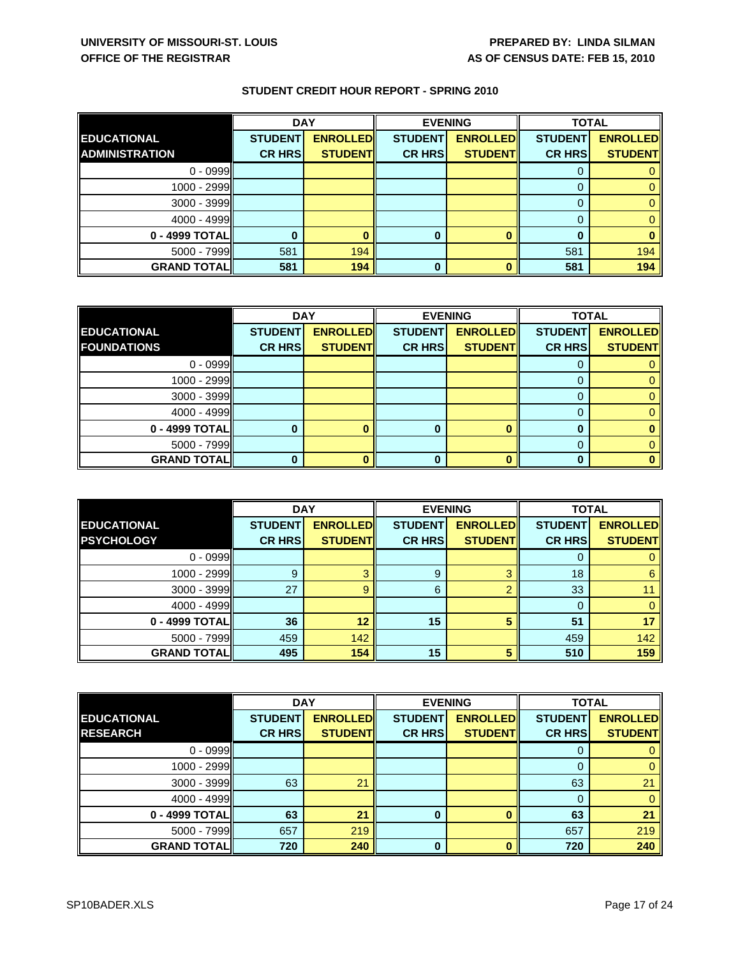|                       | <b>DAY</b>     |                 | <b>EVENING</b> |                 | <b>TOTAL</b>   |                 |
|-----------------------|----------------|-----------------|----------------|-----------------|----------------|-----------------|
| <b>EDUCATIONAL</b>    | <b>STUDENT</b> | <b>ENROLLED</b> | <b>STUDENT</b> | <b>ENROLLED</b> | <b>STUDENT</b> | <b>ENROLLED</b> |
| <b>ADMINISTRATION</b> | <b>CR HRS</b>  | <b>STUDENTI</b> | <b>CR HRS</b>  | <b>STUDENT</b>  | <b>CR HRS</b>  | <b>STUDENT</b>  |
| $0 - 0999$            |                |                 |                |                 | 0              |                 |
| 1000 - 2999           |                |                 |                |                 |                |                 |
| $3000 - 3999$         |                |                 |                |                 | 0              |                 |
| $4000 - 4999$         |                |                 |                |                 | 0              |                 |
| 0 - 4999 TOTAL        |                |                 |                |                 |                |                 |
| 5000 - 7999           | 581            | 194             |                |                 | 581            | 194             |
| <b>GRAND TOTAL</b>    | 581            | 194             |                |                 | 581            | 194             |

|                    | <b>DAY</b><br><b>EVENING</b> |                 | <b>TOTAL</b>   |                 |                |                 |
|--------------------|------------------------------|-----------------|----------------|-----------------|----------------|-----------------|
| <b>EDUCATIONAL</b> | <b>STUDENT</b>               | <b>ENROLLED</b> | <b>STUDENT</b> | <b>ENROLLED</b> | <b>STUDENT</b> | <b>ENROLLED</b> |
| <b>FOUNDATIONS</b> | <b>CR HRS</b>                | <b>STUDENTI</b> | <b>CR HRS</b>  | <b>STUDENT</b>  | <b>CR HRS</b>  | <b>STUDENT</b>  |
| $0 - 0999$         |                              |                 |                |                 |                |                 |
| $1000 - 2999$      |                              |                 |                |                 |                |                 |
| 3000 - 3999        |                              |                 |                |                 |                |                 |
| 4000 - 4999        |                              |                 |                |                 |                |                 |
| 0 - 4999 TOTAL     |                              |                 |                |                 |                |                 |
| $5000 - 7999$      |                              |                 |                |                 |                |                 |
| <b>GRAND TOTAL</b> |                              |                 |                |                 |                |                 |

|                    | <b>DAY</b>     |                 | <b>EVENING</b> |                 | <b>TOTAL</b>   |                 |
|--------------------|----------------|-----------------|----------------|-----------------|----------------|-----------------|
| <b>EDUCATIONAL</b> | <b>STUDENT</b> | <b>ENROLLED</b> | <b>STUDENT</b> | <b>ENROLLED</b> | <b>STUDENT</b> | <b>ENROLLED</b> |
| <b>PSYCHOLOGY</b>  | <b>CR HRS</b>  | <b>STUDENT</b>  | <b>CR HRS</b>  | <b>STUDENT</b>  | <b>CR HRS</b>  | <b>STUDENT</b>  |
| $0 - 0999$         |                |                 |                |                 |                |                 |
| 1000 - 2999        | 9              |                 | 9              |                 | 18             | 6               |
| 3000 - 3999        | 27             |                 | 6              |                 | 33             |                 |
| 4000 - 4999        |                |                 |                |                 | 0              |                 |
| 0 - 4999 TOTAL     | 36             | 12              | 15             |                 | 51             | 17              |
| 5000 - 7999        | 459            | 142             |                |                 | 459            | 142             |
| <b>GRAND TOTAL</b> | 495            | 154             | 15             | г,              | 510            | 159             |

|                    | <b>DAY</b>     |                 | <b>EVENING</b> |                 | <b>TOTAL</b>   |                 |
|--------------------|----------------|-----------------|----------------|-----------------|----------------|-----------------|
| <b>EDUCATIONAL</b> | <b>STUDENT</b> | <b>ENROLLED</b> | <b>STUDENT</b> | <b>ENROLLED</b> | <b>STUDENT</b> | <b>ENROLLED</b> |
| <b>RESEARCH</b>    | <b>CR HRS</b>  | <b>STUDENT</b>  | <b>CR HRS</b>  | <b>STUDENT</b>  | <b>CR HRS</b>  | <b>STUDENT</b>  |
| $0 - 0999$         |                |                 |                |                 | 0              |                 |
| $1000 - 2999$      |                |                 |                |                 | 0              |                 |
| $3000 - 3999$      | 63             | 21              |                |                 | 63             | 21              |
| $4000 - 4999$      |                |                 |                |                 | 0              |                 |
| 0 - 4999 TOTAL     | 63             | 21              | 0              |                 | 63             | 21              |
| $5000 - 7999$      | 657            | 219             |                |                 | 657            | 219             |
| <b>GRAND TOTAL</b> | 720            | 240             | $\bf{0}$       |                 | 720            | 240             |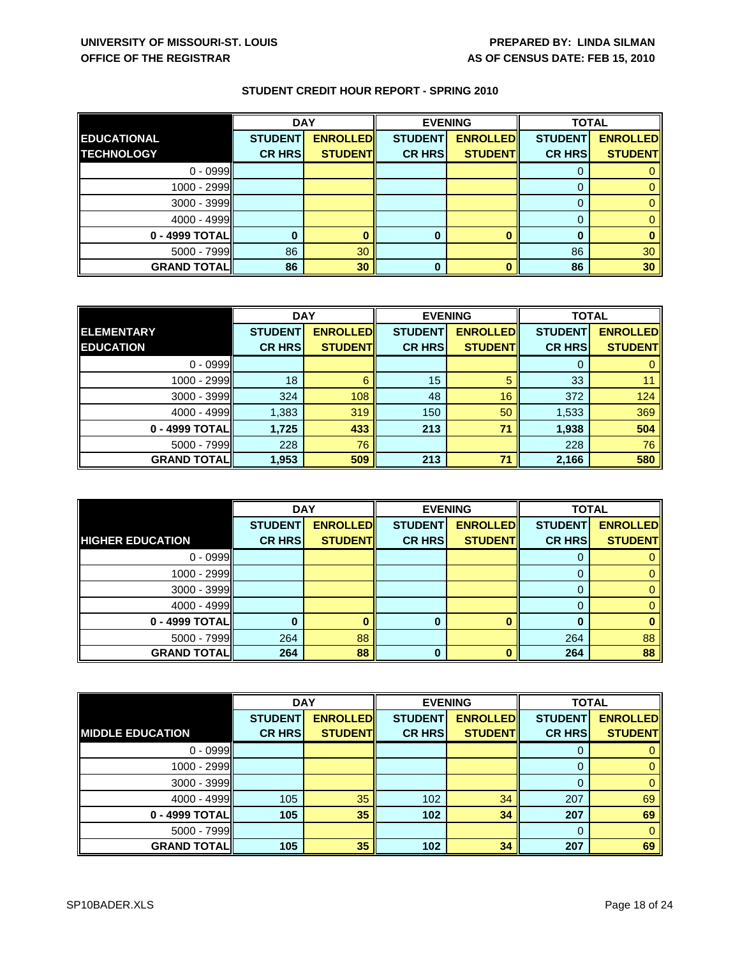|                    | <b>DAY</b>     |                 | <b>EVENING</b> |                 | <b>TOTAL</b>   |                 |
|--------------------|----------------|-----------------|----------------|-----------------|----------------|-----------------|
| <b>EDUCATIONAL</b> | <b>STUDENT</b> | <b>ENROLLED</b> | <b>STUDENT</b> | <b>ENROLLED</b> | <b>STUDENT</b> | <b>ENROLLED</b> |
| <b>TECHNOLOGY</b>  | <b>CR HRS</b>  | <b>STUDENT</b>  | <b>CR HRS</b>  | <b>STUDENTI</b> | <b>CR HRS</b>  | <b>STUDENT</b>  |
| $0 - 0999$         |                |                 |                |                 | U              |                 |
| $1000 - 2999$      |                |                 |                |                 |                |                 |
| $3000 - 3999$      |                |                 |                |                 | 0              |                 |
| $4000 - 4999$      |                |                 |                |                 | 0              |                 |
| 0 - 4999 TOTAL     |                |                 |                |                 |                |                 |
| $5000 - 7999$      | 86             | 30              |                |                 | 86             | 30              |
| <b>GRAND TOTAL</b> | 86             | 30              | 0              |                 | 86             | 30              |

|                    | <b>DAY</b>     |                 | <b>EVENING</b> |                 | <b>TOTAL</b>   |                 |
|--------------------|----------------|-----------------|----------------|-----------------|----------------|-----------------|
| <b>ELEMENTARY</b>  | <b>STUDENT</b> | <b>ENROLLED</b> | <b>STUDENT</b> | <b>ENROLLED</b> | <b>STUDENT</b> | <b>ENROLLED</b> |
| <b>EDUCATION</b>   | <b>CR HRS</b>  | <b>STUDENT</b>  | <b>CR HRS</b>  | <b>STUDENT</b>  | <b>CR HRS</b>  | <b>STUDENT</b>  |
| $0 - 0999$         |                |                 |                |                 | 0              |                 |
| $1000 - 2999$      | 18             | 6               | 15             | 5               | 33             |                 |
| $3000 - 3999$      | 324            | 108             | 48             | 16              | 372            | 124             |
| $4000 - 4999$      | 1,383          | 319             | 150            | 50              | 1,533          | 369             |
| 0 - 4999 TOTAL     | 1,725          | 433             | 213            | 71              | 1,938          | 504             |
| $5000 - 7999$      | 228            | 76              |                |                 | 228            | 76              |
| <b>GRAND TOTAL</b> | 1,953          | 509             | 213            | 71              | 2,166          | 580             |

|                         | <b>DAY</b>     |                 |                | <b>EVENING</b>  | <b>TOTAL</b>   |                 |
|-------------------------|----------------|-----------------|----------------|-----------------|----------------|-----------------|
|                         | <b>STUDENT</b> | <b>ENROLLED</b> | <b>STUDENT</b> | <b>ENROLLED</b> | <b>STUDENT</b> | <b>ENROLLED</b> |
| <b>HIGHER EDUCATION</b> | <b>CR HRS</b>  | <b>STUDENT</b>  | <b>CR HRS</b>  | <b>STUDENT</b>  | <b>CR HRS</b>  | <b>STUDENT</b>  |
| $0 - 0999$              |                |                 |                |                 | 0              |                 |
| $1000 - 2999$           |                |                 |                |                 | 0              |                 |
| 3000 - 3999             |                |                 |                |                 | 0              |                 |
| 4000 - 4999             |                |                 |                |                 |                |                 |
| 0 - 4999 TOTAL          |                |                 |                |                 | O              |                 |
| 5000 - 7999             | 264            | 88              |                |                 | 264            | 88              |
| <b>GRAND TOTAL</b>      | 264            | 88              |                |                 | 264            | 88              |

|                         | <b>DAY</b>     |                 | <b>EVENING</b> |                 |                | <b>TOTAL</b>    |  |
|-------------------------|----------------|-----------------|----------------|-----------------|----------------|-----------------|--|
|                         | <b>STUDENT</b> | <b>ENROLLED</b> | <b>STUDENT</b> | <b>ENROLLED</b> | <b>STUDENT</b> | <b>ENROLLED</b> |  |
| <b>MIDDLE EDUCATION</b> | <b>CR HRS</b>  | <b>STUDENT</b>  | <b>CR HRS</b>  | <b>STUDENT</b>  | <b>CR HRS</b>  | <b>STUDENTI</b> |  |
| $0 - 0999$              |                |                 |                |                 | 0              |                 |  |
| $1000 - 2999$           |                |                 |                |                 | 0              |                 |  |
| 3000 - 3999             |                |                 |                |                 | $\Omega$       |                 |  |
| 4000 - 4999             | 105            | 35              | 102            | 34              | 207            | 69              |  |
| 0 - 4999 TOTAL          | 105            | 35              | 102            | 34              | 207            | 69              |  |
| $5000 - 7999$           |                |                 |                |                 | $\Omega$       |                 |  |
| <b>GRAND TOTAL</b>      | 105            | 35              | 102            | 34              | 207            | 69              |  |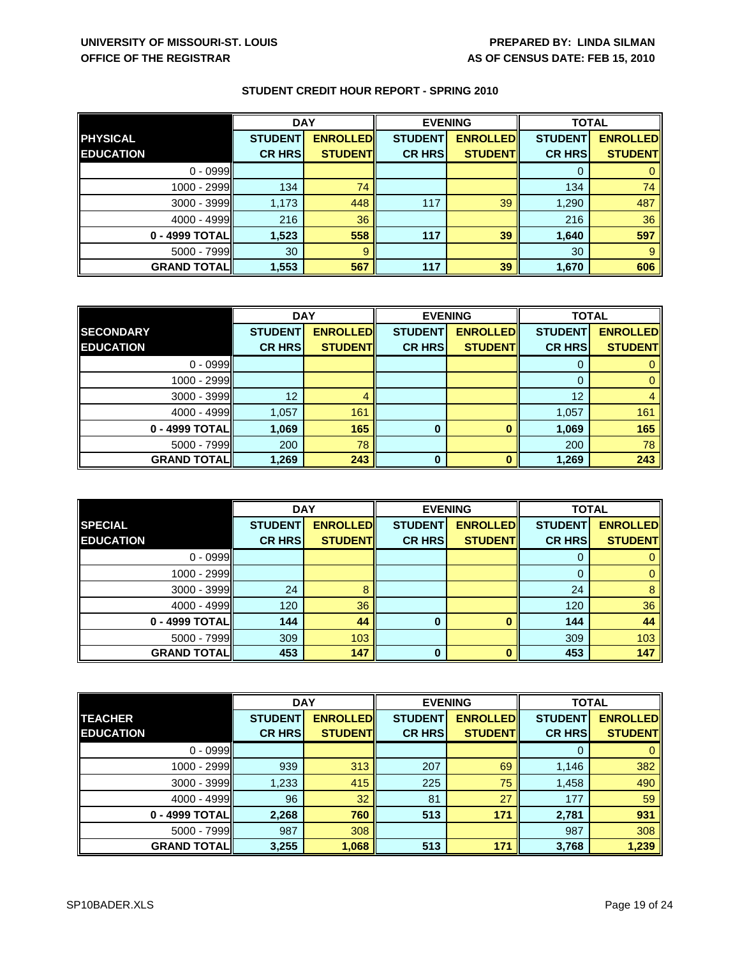|                    | <b>DAY</b>     |                 | <b>EVENING</b> |                 | <b>TOTAL</b>   |                 |
|--------------------|----------------|-----------------|----------------|-----------------|----------------|-----------------|
| <b>PHYSICAL</b>    | <b>STUDENT</b> | <b>ENROLLED</b> | <b>STUDENT</b> | <b>ENROLLED</b> | <b>STUDENT</b> | <b>ENROLLED</b> |
| <b>EDUCATION</b>   | <b>CR HRS</b>  | <b>STUDENT</b>  | <b>CR HRS</b>  | <b>STUDENTI</b> | <b>CR HRS</b>  | <b>STUDENT</b>  |
| $0 - 0999$         |                |                 |                |                 |                |                 |
| 1000 - 2999        | 134            | 74              |                |                 | 134            | 74              |
| 3000 - 3999        | 1,173          | 448             | 117            | 39              | 1,290          | 487             |
| $4000 - 4999$      | 216            | 36              |                |                 | 216            | 36              |
| 0 - 4999 TOTAL     | 1,523          | 558             | 117            | 39              | 1,640          | 597             |
| $5000 - 7999$      | 30             | 9               |                |                 | 30             |                 |
| <b>GRAND TOTAL</b> | 1,553          | 567             | 117            | 39              | 1,670          | 606             |

|                     | <b>DAY</b>     |                 | <b>EVENING</b> |                 | <b>TOTAL</b>   |                 |
|---------------------|----------------|-----------------|----------------|-----------------|----------------|-----------------|
| <b>SECONDARY</b>    | <b>STUDENT</b> | <b>ENROLLED</b> | <b>STUDENT</b> | <b>ENROLLED</b> | <b>STUDENT</b> | <b>ENROLLED</b> |
| <b>EDUCATION</b>    | <b>CR HRS</b>  | <b>STUDENT</b>  | <b>CR HRS</b>  | <b>STUDENTI</b> | <b>CR HRS</b>  | <b>STUDENT</b>  |
| $0 - 0999$          |                |                 |                |                 | 0              |                 |
| $1000 - 2999$       |                |                 |                |                 | $\Omega$       |                 |
| $3000 - 3999$       | 12             |                 |                |                 | 12             |                 |
| $4000 - 4999$       | 1,057          | 161             |                |                 | 1,057          | 161             |
| 0 - 4999 TOTAL      | 1,069          | 165             | $\bf{0}$       |                 | 1,069          | 165             |
| 5000 - 7999         | 200            | 78              |                |                 | 200            | 78              |
| <b>GRAND TOTALI</b> | 1,269          | 243             | $\bf{0}$       | n               | 1,269          | 243             |

|                    | <b>DAY</b>     |                 | <b>EVENING</b> |                 | <b>TOTAL</b>   |                 |
|--------------------|----------------|-----------------|----------------|-----------------|----------------|-----------------|
| <b>SPECIAL</b>     | <b>STUDENT</b> | <b>ENROLLED</b> | <b>STUDENT</b> | <b>ENROLLED</b> | <b>STUDENT</b> | <b>ENROLLED</b> |
| <b>EDUCATION</b>   | <b>CR HRS</b>  | <b>STUDENT</b>  | <b>CR HRS</b>  | <b>STUDENT</b>  | <b>CR HRS</b>  | <b>STUDENT</b>  |
| $0 - 0999$         |                |                 |                |                 |                |                 |
| 1000 - 2999        |                |                 |                |                 |                |                 |
| 3000 - 3999        | 24             |                 |                |                 | 24             |                 |
| 4000 - 4999        | 120            | 36              |                |                 | 120            | 36              |
| 0 - 4999 TOTAL     | 144            | 44              |                |                 | 144            | 44              |
| 5000 - 7999        | 309            | 103             |                |                 | 309            | 103             |
| <b>GRAND TOTAL</b> | 453            | 147             |                |                 | 453            | 147             |

|                    | <b>DAY</b>     |                  | <b>EVENING</b> |                 | <b>TOTAL</b>   |                 |
|--------------------|----------------|------------------|----------------|-----------------|----------------|-----------------|
| <b>TEACHER</b>     | <b>STUDENT</b> | <b>ENROLLEDI</b> | <b>STUDENT</b> | <b>ENROLLED</b> | <b>STUDENT</b> | <b>ENROLLED</b> |
| <b>EDUCATION</b>   | <b>CR HRS</b>  | <b>STUDENT</b>   | <b>CR HRS</b>  | <b>STUDENT</b>  | <b>CR HRS</b>  | <b>STUDENT</b>  |
| $0 - 0999$         |                |                  |                |                 | 0              |                 |
| $1000 - 2999$      | 939            | 313              | 207            | 69              | 1,146          | 382             |
| $3000 - 3999$      | 1,233          | 415              | 225            | 75              | 1,458          | 490             |
| 4000 - 4999        | 96             | 32               | 81             | 27              | 177            | 59              |
| 0 - 4999 TOTALI    | 2,268          | 760              | 513            | 171             | 2,781          | 931             |
| $5000 - 7999$      | 987            | 308              |                |                 | 987            | 308             |
| <b>GRAND TOTAL</b> | 3,255          | 1,068            | 513            | 171             | 3,768          | 1,239           |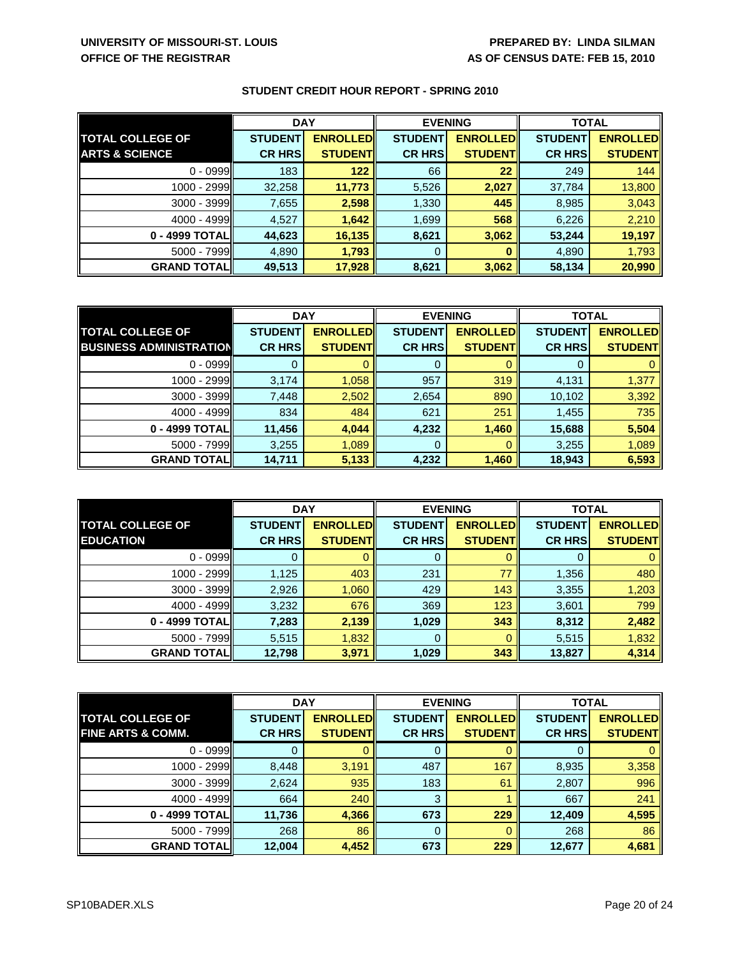|                           | <b>DAY</b>     |                 | <b>EVENING</b> |                 | <b>TOTAL</b>   |                 |
|---------------------------|----------------|-----------------|----------------|-----------------|----------------|-----------------|
| <b>TOTAL COLLEGE OF</b>   | <b>STUDENT</b> | <b>ENROLLED</b> | <b>STUDENT</b> | <b>ENROLLED</b> | <b>STUDENT</b> | <b>ENROLLED</b> |
| <b>ARTS &amp; SCIENCE</b> | <b>CR HRS</b>  | <b>STUDENT</b>  | <b>CR HRS</b>  | <b>STUDENT</b>  | <b>CR HRS</b>  | <b>STUDENT</b>  |
| $0 - 0999$                | 183            | 122             | 66             | 22              | 249            | 144             |
| $1000 - 2999$             | 32,258         | 11,773          | 5,526          | 2,027           | 37,784         | 13,800          |
| $3000 - 3999$             | 7,655          | 2,598           | 1,330          | 445             | 8,985          | 3,043           |
| $4000 - 4999$             | 4,527          | 1,642           | 1,699          | 568             | 6,226          | 2,210           |
| 0 - 4999 TOTAL            | 44,623         | 16,135          | 8,621          | 3,062           | 53,244         | 19,197          |
| $5000 - 7999$             | 4,890          | 1,793           | 0              |                 | 4,890          | 1,793           |
| <b>GRAND TOTAL</b>        | 49,513         | 17,928          | 8,621          | 3,062           | 58,134         | 20,990          |

|                                | <b>DAY</b>     |                 | <b>EVENING</b> |                 | <b>TOTAL</b>   |                 |
|--------------------------------|----------------|-----------------|----------------|-----------------|----------------|-----------------|
| <b>TOTAL COLLEGE OF</b>        | <b>STUDENT</b> | <b>ENROLLED</b> | <b>STUDENT</b> | <b>ENROLLED</b> | <b>STUDENT</b> | <b>ENROLLED</b> |
| <b>BUSINESS ADMINISTRATION</b> | <b>CR HRS</b>  | <b>STUDENT</b>  | <b>CR HRS</b>  | <b>STUDENT</b>  | <b>CR HRS</b>  | <b>STUDENT</b>  |
| $0 - 0999$                     |                |                 |                |                 |                |                 |
| 1000 - 2999                    | 3,174          | 1,058           | 957            | 319             | 4,131          | 1,377           |
| $3000 - 3999$                  | 7,448          | 2,502           | 2,654          | 890             | 10,102         | 3,392           |
| $4000 - 4999$                  | 834            | 484             | 621            | 251             | 1,455          | 735             |
| 0 - 4999 TOTAL                 | 11,456         | 4,044           | 4,232          | 1,460           | 15,688         | 5,504           |
| 5000 - 7999                    | 3,255          | 1,089           | 0              |                 | 3,255          | 1,089           |
| <b>GRAND TOTALI</b>            | 14,711         | 5,133           | 4,232          | 1,460           | 18,943         | 6,593           |

|                         | <b>DAY</b>     |                 |                | <b>EVENING</b>  | <b>TOTAL</b>   |                 |
|-------------------------|----------------|-----------------|----------------|-----------------|----------------|-----------------|
| <b>TOTAL COLLEGE OF</b> | <b>STUDENT</b> | <b>ENROLLED</b> | <b>STUDENT</b> | <b>ENROLLED</b> | <b>STUDENT</b> | <b>ENROLLED</b> |
| <b>EDUCATION</b>        | <b>CR HRS</b>  | <b>STUDENT</b>  | <b>CR HRS</b>  | <b>STUDENT</b>  | <b>CR HRS</b>  | <b>STUDENT</b>  |
| $0 - 0999$              |                |                 |                |                 | 0              |                 |
| 1000 - 2999             | 1,125          | 403             | 231            | 77              | 1,356          | 480             |
| 3000 - 3999             | 2,926          | 1,060           | 429            | 143             | 3,355          | 1,203           |
| $4000 - 4999$           | 3,232          | 676             | 369            | 123             | 3,601          | 799             |
| 0 - 4999 TOTAL          | 7,283          | 2,139           | 1,029          | 343             | 8,312          | 2,482           |
| $5000 - 7999$           | 5,515          | 1,832           | 0              | 0               | 5,515          | 1,832           |
| <b>GRAND TOTAL</b>      | 12,798         | 3,971           | 1,029          | 343             | 13,827         | 4,314           |

|                              | <b>DAY</b>     |                 | <b>EVENING</b> |                 | <b>TOTAL</b>   |                 |
|------------------------------|----------------|-----------------|----------------|-----------------|----------------|-----------------|
| <b>TOTAL COLLEGE OF</b>      | <b>STUDENT</b> | <b>ENROLLED</b> | <b>STUDENT</b> | <b>ENROLLED</b> | <b>STUDENT</b> | <b>ENROLLED</b> |
| <b>FINE ARTS &amp; COMM.</b> | <b>CR HRS</b>  | <b>STUDENTI</b> | <b>CR HRSI</b> | <b>STUDENT</b>  | <b>CR HRS</b>  | <b>STUDENTI</b> |
| $0 - 0999$                   |                |                 |                |                 | O              |                 |
| 1000 - 2999                  | 8,448          | 3,191           | 487            | 167             | 8,935          | 3,358           |
| 3000 - 3999                  | 2,624          | 935             | 183            | 61              | 2,807          | 996             |
| $4000 - 4999$                | 664            | 240             | 3              |                 | 667            | 241             |
| 0 - 4999 TOTAL               | 11,736         | 4,366           | 673            | 229             | 12,409         | 4,595           |
| $5000 - 7999$                | 268            | 86              | 0              |                 | 268            | 86              |
| <b>GRAND TOTAL</b>           | 12,004         | 4,452           | 673            | 229             | 12,677         | 4,681           |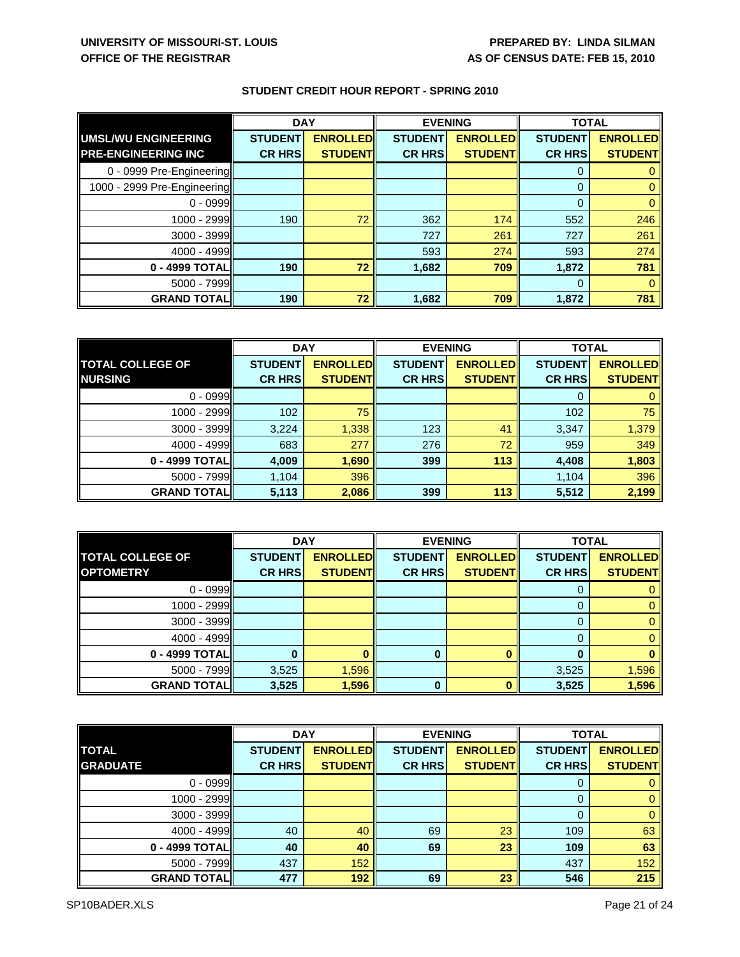|                             | <b>DAY</b>     |                 | <b>EVENING</b> |                 | <b>TOTAL</b>   |                 |
|-----------------------------|----------------|-----------------|----------------|-----------------|----------------|-----------------|
| UMSL/WU ENGINEERING         | <b>STUDENT</b> | <b>ENROLLED</b> | <b>STUDENT</b> | <b>ENROLLED</b> | <b>STUDENT</b> | <b>ENROLLED</b> |
| <b>PRE-ENGINEERING INC</b>  | <b>CR HRS</b>  | <b>STUDENT</b>  | <b>CR HRS</b>  | <b>STUDENTI</b> | <b>CR HRS</b>  | <b>STUDENT</b>  |
| 0 - 0999 Pre-Engineering    |                |                 |                |                 | 0              |                 |
| 1000 - 2999 Pre-Engineering |                |                 |                |                 | $\Omega$       |                 |
| $0 - 0999$                  |                |                 |                |                 | $\overline{0}$ |                 |
| 1000 - 2999                 | 190            | 72              | 362            | 174             | 552            | 246             |
| $3000 - 3999$               |                |                 | 727            | 261             | 727            | 261             |
| $4000 - 4999$               |                |                 | 593            | 274             | 593            | 274             |
| 0 - 4999 TOTAL              | 190            | 72              | 1,682          | 709             | 1,872          | 781             |
| $5000 - 7999$               |                |                 |                |                 | $\Omega$       |                 |
| <b>GRAND TOTAL</b>          | 190            | 72              | 1,682          | 709             | 1,872          | 781             |

|                         | <b>DAY</b>     |                 | <b>EVENING</b> |                 | <b>TOTAL</b>   |                 |
|-------------------------|----------------|-----------------|----------------|-----------------|----------------|-----------------|
| <b>TOTAL COLLEGE OF</b> | <b>STUDENT</b> | <b>ENROLLED</b> | <b>STUDENT</b> | <b>ENROLLED</b> | <b>STUDENT</b> | <b>ENROLLED</b> |
| <b>NURSING</b>          | <b>CR HRS</b>  | <b>STUDENT</b>  | <b>CR HRS</b>  | <b>STUDENT</b>  | <b>CR HRS</b>  | <b>STUDENT</b>  |
| $0 - 0999$              |                |                 |                |                 | 0              |                 |
| $1000 - 2999$           | 102            | 75              |                |                 | 102            | 75              |
| $3000 - 3999$           | 3,224          | 1,338           | 123            | 41              | 3,347          | 1,379           |
| 4000 - 4999             | 683            | 277             | 276            | 72              | 959            | 349             |
| 0 - 4999 TOTAL          | 4,009          | 1,690           | 399            | 113             | 4,408          | 1,803           |
| $5000 - 7999$           | 1,104          | 396             |                |                 | 1,104          | 396             |
| <b>GRAND TOTAL</b>      | 5,113          | 2,086           | 399            | 113             | 5,512          | 2,199           |

|                         | <b>DAY</b>     |                 | <b>EVENING</b> |                 | <b>TOTAL</b>   |                 |
|-------------------------|----------------|-----------------|----------------|-----------------|----------------|-----------------|
| <b>TOTAL COLLEGE OF</b> | <b>STUDENT</b> | <b>ENROLLED</b> | <b>STUDENT</b> | <b>ENROLLED</b> | <b>STUDENT</b> | <b>ENROLLED</b> |
| <b>OPTOMETRY</b>        | <b>CR HRS</b>  | <b>STUDENTI</b> | <b>CR HRS</b>  | <b>STUDENTI</b> | <b>CR HRS</b>  | <b>STUDENT</b>  |
| $0 - 0999$              |                |                 |                |                 |                |                 |
| $1000 - 2999$           |                |                 |                |                 |                |                 |
| $3000 - 3999$           |                |                 |                |                 |                |                 |
| 4000 - 4999             |                |                 |                |                 |                |                 |
| 0 - 4999 TOTAL          |                |                 | 0              |                 | O              |                 |
| $5000 - 7999$           | 3,525          | 1,596           |                |                 | 3,525          | 1,596           |
| <b>GRAND TOTAL</b>      | 3,525          | 1,596           | 0              |                 | 3,525          | 1,596           |

|                    | <b>DAY</b>     |                 | <b>EVENING</b> |                 | <b>TOTAL</b>   |                 |
|--------------------|----------------|-----------------|----------------|-----------------|----------------|-----------------|
| <b>TOTAL</b>       | <b>STUDENT</b> | <b>ENROLLED</b> | <b>STUDENT</b> | <b>ENROLLED</b> | <b>STUDENT</b> | <b>ENROLLED</b> |
| <b>GRADUATE</b>    | <b>CR HRS</b>  | <b>STUDENT</b>  | <b>CR HRS</b>  | <b>STUDENT</b>  | <b>CR HRS</b>  | <b>STUDENTI</b> |
| $0 - 0999$         |                |                 |                |                 | 0              |                 |
| 1000 - 2999        |                |                 |                |                 | $\Omega$       |                 |
| 3000 - 3999        |                |                 |                |                 | 0              |                 |
| 4000 - 4999        | 40             | 40              | 69             | 23              | 109            | 63              |
| 0 - 4999 TOTAL     | 40             | 40              | 69             | 23              | 109            | 63              |
| $5000 - 7999$      | 437            | 152             |                |                 | 437            | 152             |
| <b>GRAND TOTAL</b> | 477            | 192             | 69             | 23              | 546            | 215             |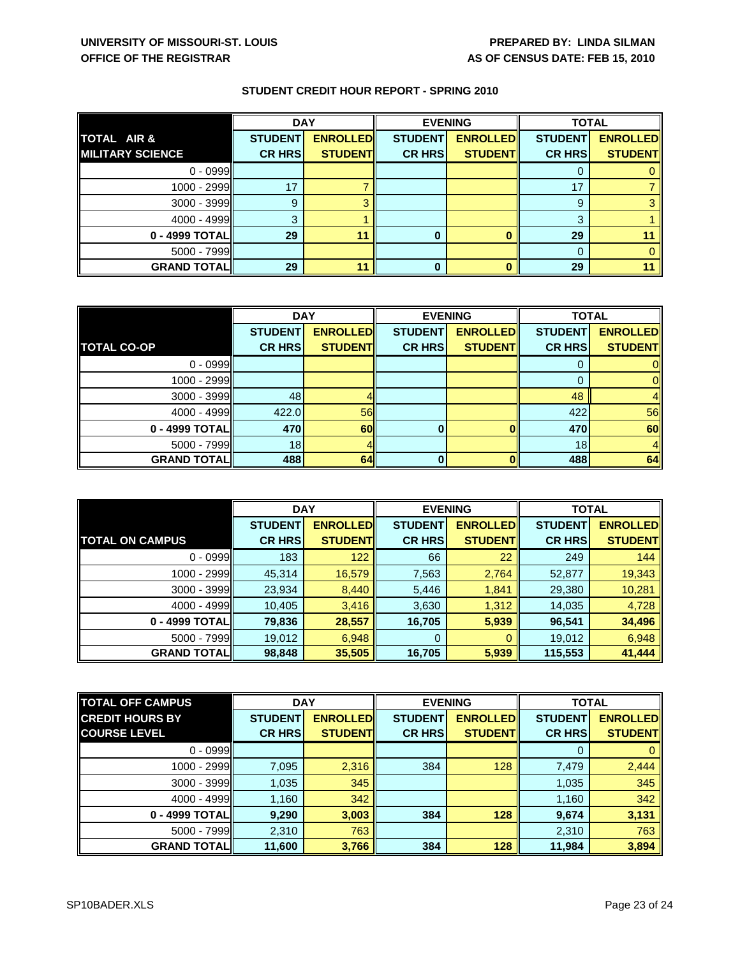|                         | <b>DAY</b>     |                 | <b>EVENING</b> |                 | <b>TOTAL</b>   |                 |
|-------------------------|----------------|-----------------|----------------|-----------------|----------------|-----------------|
| TOTAL AIR &             | <b>STUDENT</b> | <b>ENROLLED</b> | <b>STUDENT</b> | <b>ENROLLED</b> | <b>STUDENT</b> | <b>ENROLLED</b> |
| <b>MILITARY SCIENCE</b> | <b>CR HRS</b>  | <b>STUDENT</b>  | <b>CR HRS</b>  | <b>STUDENTI</b> | <b>CR HRS</b>  | <b>STUDENT</b>  |
| $0 - 0999$              |                |                 |                |                 |                |                 |
| $1000 - 2999$           | 17             |                 |                |                 | 17             |                 |
| $3000 - 3999$           | 9              |                 |                |                 | 9              |                 |
| 4000 - 4999             | 3              |                 |                |                 | 3              |                 |
| 0 - 4999 TOTAL          | 29             | 11              |                |                 | 29             |                 |
| $5000 - 7999$           |                |                 |                |                 | 0              |                 |
| <b>GRAND TOTAL</b>      | 29             | 11              |                |                 | 29             |                 |

|                     | <b>DAY</b>     |                 | <b>EVENING</b> |                 | <b>TOTAL</b>    |                 |
|---------------------|----------------|-----------------|----------------|-----------------|-----------------|-----------------|
|                     | <b>STUDENT</b> | <b>ENROLLED</b> | <b>STUDENT</b> | <b>ENROLLED</b> | <b>STUDENT</b>  | <b>ENROLLED</b> |
| <b>TOTAL CO-OP</b>  | <b>CR HRS</b>  | <b>STUDENT</b>  | <b>CR HRS</b>  | <b>STUDENT</b>  | <b>CR HRS</b>   | <b>STUDENT</b>  |
| $0 - 0999$          |                |                 |                |                 |                 |                 |
| $1000 - 2999$       |                |                 |                |                 |                 | ΟI              |
| 3000 - 3999         | 48             |                 |                |                 | 48              |                 |
| 4000 - 4999         | 422.0          | <b>56</b>       |                |                 | 422             | 56              |
| 0 - 4999 TOTAL      | 470            | <b>60</b>       |                | OII             | 470             | 60              |
| $5000 - 7999$       | 18             |                 |                |                 | 18 <sub>1</sub> | 4 <sub>h</sub>  |
| <b>GRAND TOTALI</b> | 488            | 64II            |                | ΩII             | 488             | 64              |

|                        | <b>DAY</b>     |                 | <b>EVENING</b> |                 | <b>TOTAL</b>   |                 |
|------------------------|----------------|-----------------|----------------|-----------------|----------------|-----------------|
|                        | <b>STUDENT</b> | <b>ENROLLED</b> | <b>STUDENT</b> | <b>ENROLLED</b> | <b>STUDENT</b> | <b>ENROLLED</b> |
| <b>TOTAL ON CAMPUS</b> | <b>CR HRS</b>  | <b>STUDENT</b>  | <b>CR HRS</b>  | <b>STUDENT</b>  | <b>CR HRS</b>  | <b>STUDENT</b>  |
| $0 - 0999$             | 183            | 122             | 66             | 22              | 249            | 144             |
| 1000 - 2999            | 45,314         | 16,579          | 7,563          | 2,764           | 52,877         | 19,343          |
| $3000 - 3999$          | 23,934         | 8,440           | 5,446          | 1,841           | 29,380         | 10,281          |
| $4000 - 4999$          | 10,405         | 3,416           | 3,630          | 1,312           | 14,035         | 4,728           |
| 0 - 4999 TOTAL         | 79,836         | 28,557          | 16,705         | 5,939           | 96,541         | 34,496          |
| $5000 - 7999$          | 19,012         | 6,948           | 0              | 0               | 19,012         | 6,948           |
| <b>GRAND TOTAL</b>     | 98,848         | 35,505          | 16,705         | 5,939           | 115,553        | 41,444          |

| <b>TOTAL OFF CAMPUS</b> |                | <b>DAY</b>       |                | <b>EVENING</b>   |                | <b>TOTAL</b>     |  |
|-------------------------|----------------|------------------|----------------|------------------|----------------|------------------|--|
| <b>CREDIT HOURS BY</b>  | <b>STUDENT</b> | <b>ENROLLEDI</b> | <b>STUDENT</b> | <b>ENROLLEDI</b> | <b>STUDENT</b> | <b>ENROLLEDI</b> |  |
| <b>COURSE LEVEL</b>     | <b>CR HRS</b>  | <b>STUDENT</b>   | <b>CR HRS</b>  | <b>STUDENTI</b>  | <b>CR HRS</b>  | <b>STUDENT</b>   |  |
| $0 - 0999$              |                |                  |                |                  | 0              |                  |  |
| $1000 - 2999$           | 7,095          | 2,316            | 384            | 128              | 7,479          | 2,444            |  |
| $3000 - 3999$           | 1,035          | 345              |                |                  | 1,035          | 345              |  |
| $4000 - 4999$           | 1,160          | 342              |                |                  | 1,160          | 342              |  |
| 0 - 4999 TOTAL          | 9,290          | 3,003            | 384            | 128              | 9,674          | 3,131            |  |
| $5000 - 7999$           | 2,310          | 763              |                |                  | 2,310          | 763              |  |
| <b>GRAND TOTALI</b>     | 11,600         | 3,766            | 384            | 128              | 11,984         | 3,894            |  |